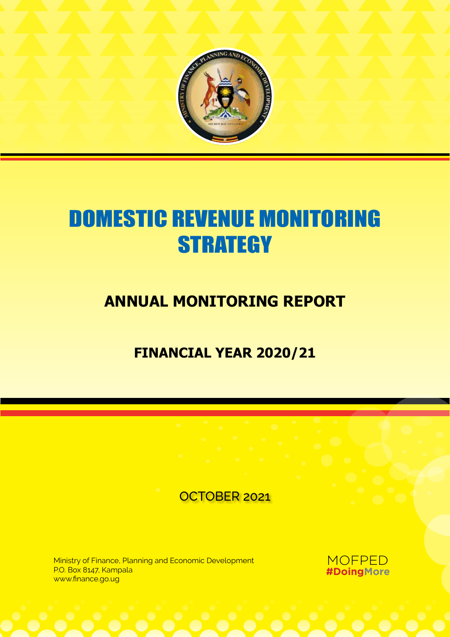

# DOMESTIC REVENUE MONITORING **STRATEGY**

# **Annual Monitoring Report**

# **FINANCIAL YEAR 2020/21**

# OCTOBER 2021

Ministry of Finance, Planning and Economic Development P.O. Box 8147, Kampala www.finance.go.ug

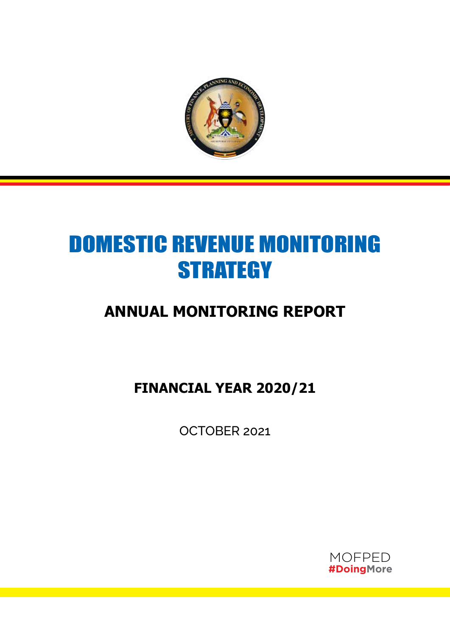

# DOMESTIC REVENUE MONITORING **STRATEGY**

# **Annual Monitoring Report**

**FINANCIAL YEAR 2020/21**

OCTOBER 2021

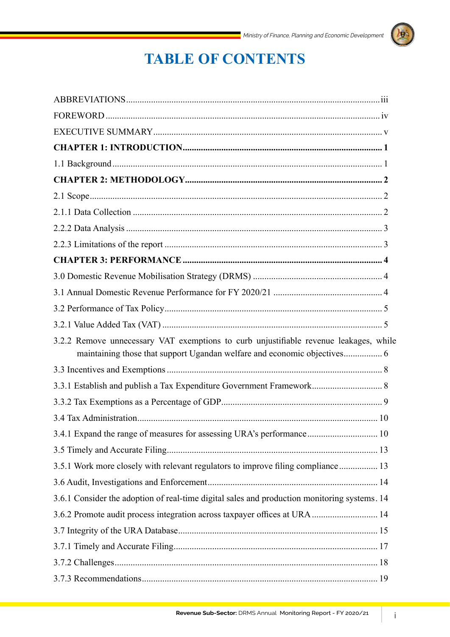

# **TABLE OF CONTENTS**

| 3.2.2 Remove unnecessary VAT exemptions to curb unjustifiable revenue leakages, while<br>maintaining those that support Ugandan welfare and economic objectives 6 |
|-------------------------------------------------------------------------------------------------------------------------------------------------------------------|
|                                                                                                                                                                   |
| 3.3.1 Establish and publish a Tax Expenditure Government Framework 8                                                                                              |
|                                                                                                                                                                   |
|                                                                                                                                                                   |
| 3.4.1 Expand the range of measures for assessing URA's performance 10                                                                                             |
|                                                                                                                                                                   |
| 3.5.1 Work more closely with relevant regulators to improve filing compliance 13                                                                                  |
|                                                                                                                                                                   |
| 3.6.1 Consider the adoption of real-time digital sales and production monitoring systems. 14                                                                      |
| 3.6.2 Promote audit process integration across taxpayer offices at URA  14                                                                                        |
|                                                                                                                                                                   |
|                                                                                                                                                                   |
|                                                                                                                                                                   |
|                                                                                                                                                                   |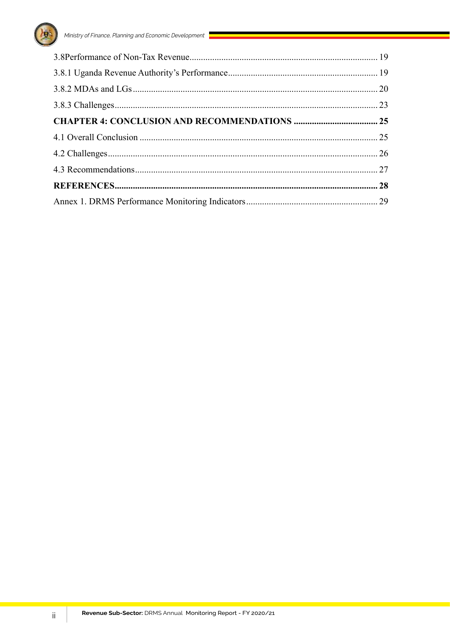

 $\mathrm{ii}$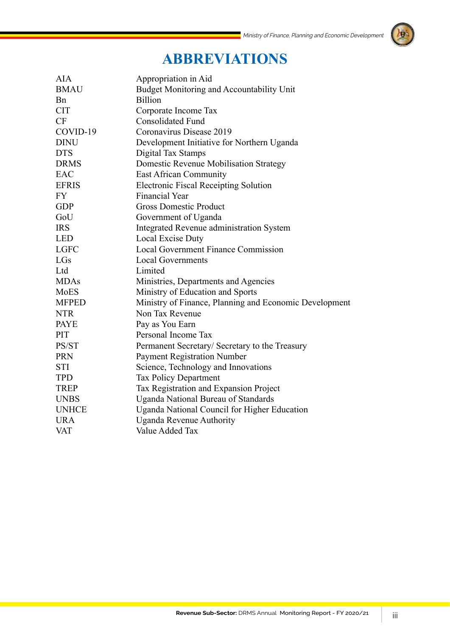# h,

# **ABBREVIATIONS**

| <b>AIA</b>   | Appropriation in Aid                                   |
|--------------|--------------------------------------------------------|
| <b>BMAU</b>  | Budget Monitoring and Accountability Unit              |
| <b>B</b> n   | <b>Billion</b>                                         |
| <b>CIT</b>   | Corporate Income Tax                                   |
| CF           | <b>Consolidated Fund</b>                               |
| COVID-19     | Coronavirus Disease 2019                               |
| <b>DINU</b>  | Development Initiative for Northern Uganda             |
| <b>DTS</b>   | Digital Tax Stamps                                     |
| <b>DRMS</b>  | Domestic Revenue Mobilisation Strategy                 |
| EAC          | <b>East African Community</b>                          |
| <b>EFRIS</b> | <b>Electronic Fiscal Receipting Solution</b>           |
| <b>FY</b>    | <b>Financial Year</b>                                  |
| <b>GDP</b>   | <b>Gross Domestic Product</b>                          |
| GoU          | Government of Uganda                                   |
| <b>IRS</b>   | Integrated Revenue administration System               |
| <b>LED</b>   | Local Excise Duty                                      |
| <b>LGFC</b>  | <b>Local Government Finance Commission</b>             |
| LGs          | <b>Local Governments</b>                               |
| Ltd          | Limited                                                |
| <b>MDAs</b>  | Ministries, Departments and Agencies                   |
| MoES         | Ministry of Education and Sports                       |
| <b>MFPED</b> | Ministry of Finance, Planning and Economic Development |
| <b>NTR</b>   | Non Tax Revenue                                        |
| <b>PAYE</b>  | Pay as You Earn                                        |
| PIT          | Personal Income Tax                                    |
| PS/ST        | Permanent Secretary/ Secretary to the Treasury         |
| <b>PRN</b>   | <b>Payment Registration Number</b>                     |
| <b>STI</b>   | Science, Technology and Innovations                    |
| <b>TPD</b>   | <b>Tax Policy Department</b>                           |
| <b>TREP</b>  | Tax Registration and Expansion Project                 |
| <b>UNBS</b>  | <b>Uganda National Bureau of Standards</b>             |
| <b>UNHCE</b> | Uganda National Council for Higher Education           |
| <b>URA</b>   | <b>Uganda Revenue Authority</b>                        |
| <b>VAT</b>   | Value Added Tax                                        |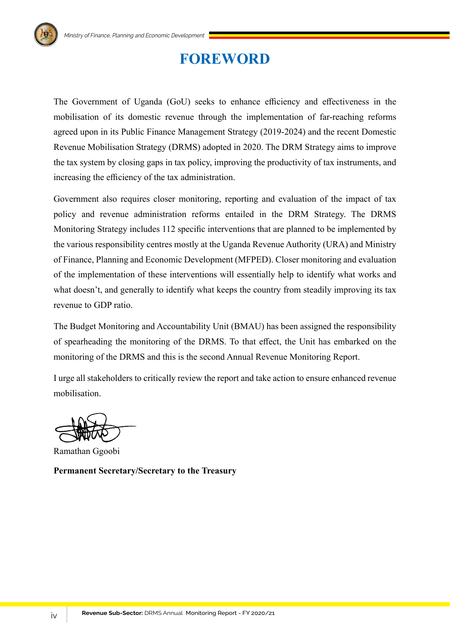# **FOREWORD**

The Government of Uganda (GoU) seeks to enhance efficiency and effectiveness in the mobilisation of its domestic revenue through the implementation of far-reaching reforms agreed upon in its Public Finance Management Strategy (2019-2024) and the recent Domestic Revenue Mobilisation Strategy (DRMS) adopted in 2020. The DRM Strategy aims to improve the tax system by closing gaps in tax policy, improving the productivity of tax instruments, and increasing the efficiency of the tax administration.

Government also requires closer monitoring, reporting and evaluation of the impact of tax policy and revenue administration reforms entailed in the DRM Strategy. The DRMS Monitoring Strategy includes 112 specific interventions that are planned to be implemented by the various responsibility centres mostly at the Uganda Revenue Authority (URA) and Ministry of Finance, Planning and Economic Development (MFPED). Closer monitoring and evaluation of the implementation of these interventions will essentially help to identify what works and what doesn't, and generally to identify what keeps the country from steadily improving its tax revenue to GDP ratio.

The Budget Monitoring and Accountability Unit (BMAU) has been assigned the responsibility of spearheading the monitoring of the DRMS. To that effect, the Unit has embarked on the monitoring of the DRMS and this is the second Annual Revenue Monitoring Report.

I urge all stakeholders to critically review the report and take action to ensure enhanced revenue mobilisation.

Ramathan Ggoobi

**Permanent Secretary/Secretary to the Treasury**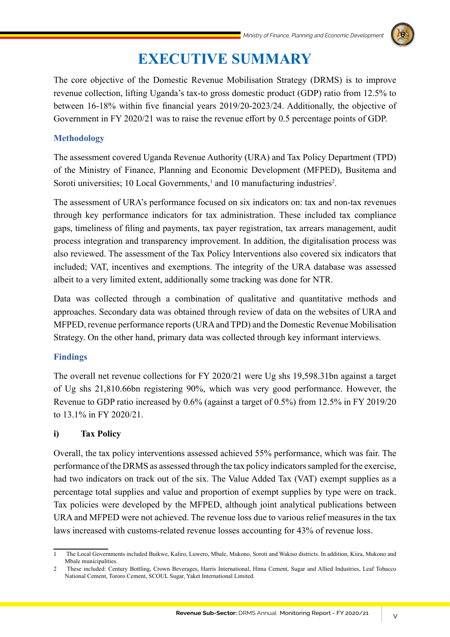# **EXECUTIVE SUMMARY**

The core objective of the Domestic Revenue Mobilisation Strategy (DRMS) is to improve revenue collection, lifting Uganda's tax-to gross domestic product (GDP) ratio from 12.5% to between 16-18% within five financial years 2019/20-2023/24. Additionally, the objective of Government in FY 2020/21 was to raise the revenue effort by 0.5 percentage points of GDP.

# **Methodology**

The assessment covered Uganda Revenue Authority (URA) and Tax Policy Department (TPD) of the Ministry of Finance, Planning and Economic Development (MFPED), Busitema and Soroti universities; 10 Local Governments,<sup>1</sup> and 10 manufacturing industries<sup>2</sup>.

The assessment of URA's performance focused on six indicators on: tax and non-tax revenues through key performance indicators for tax administration. These included tax compliance gaps, timeliness of filing and payments, tax payer registration, tax arrears management, audit process integration and transparency improvement. In addition, the digitalisation process was also reviewed. The assessment of the Tax Policy Interventions also covered six indicators that included; VAT, incentives and exemptions. The integrity of the URA database was assessed albeit to a very limited extent, additionally some tracking was done for NTR.

Data was collected through a combination of qualitative and quantitative methods and approaches. Secondary data was obtained through review of data on the websites of URA and MFPED, revenue performance reports (URA and TPD) and the Domestic Revenue Mobilisation Strategy. On the other hand, primary data was collected through key informant interviews.

# **Findings**

The overall net revenue collections for FY 2020/21 were Ug shs 19,598.31bn against a target of Ug shs 21,810.66bn registering 90%, which was very good performance. However, the Revenue to GDP ratio increased by 0.6% (against a target of 0.5%) from 12.5% in FY 2019/20 to 13.1% in FY 2020/21.

# **i) Tax Policy**

Overall, the tax policy interventions assessed achieved 55% performance, which was fair. The performance of the DRMS as assessed through the tax policy indicators sampled for the exercise, had two indicators on track out of the six. The Value Added Tax (VAT) exempt supplies as a percentage total supplies and value and proportion of exempt supplies by type were on track. Tax policies were developed by the MFPED, although joint analytical publications between URA and MFPED were not achieved. The revenue loss due to various relief measures in the tax laws increased with customs-related revenue losses accounting for 43% of revenue loss.

<sup>1</sup> The Local Governments included Buikwe, Kaliro, Luwero, Mbale, Mukono, Soroti and Wakiso districts. In addition, Kiira, Mukono and Mbale municipalities.

<sup>2</sup> These included: Century Bottling, Crown Beverages, Harris International, Hima Cement, Sugar and Allied Industries, Leaf Tobacco National Cement, Tororo Cement, SCOUL Sugar, Yaket International Limited.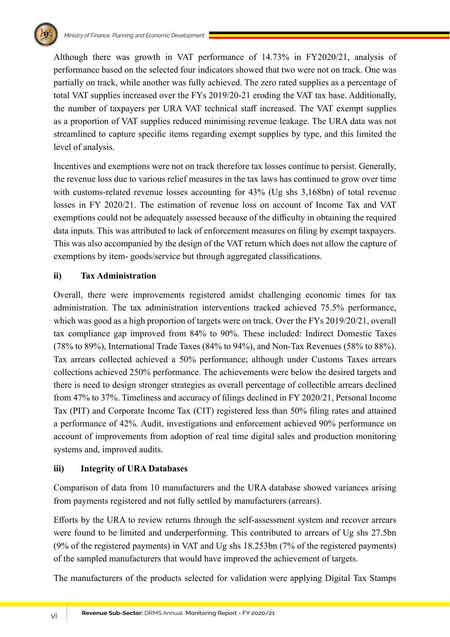

Although there was growth in VAT performance of 14.73% in FY2020/21, analysis of performance based on the selected four indicators showed that two were not on track. One was partially on track, while another was fully achieved. The zero rated supplies as a percentage of total VAT supplies increased over the FYs 2019/20-21 eroding the VAT tax base. Additionally, the number of taxpayers per URA VAT technical staff increased. The VAT exempt supplies as a proportion of VAT supplies reduced minimising revenue leakage. The URA data was not streamlined to capture specific items regarding exempt supplies by type, and this limited the level of analysis.

Incentives and exemptions were not on track therefore tax losses continue to persist. Generally, the revenue loss due to various relief measures in the tax laws has continued to grow over time with customs-related revenue losses accounting for 43% (Ug shs 3,168bn) of total revenue losses in FY 2020/21. The estimation of revenue loss on account of Income Tax and VAT exemptions could not be adequately assessed because of the difficulty in obtaining the required data inputs. This was attributed to lack of enforcement measures on filing by exempt taxpayers. This was also accompanied by the design of the VAT return which does not allow the capture of exemptions by item- goods/service but through aggregated classifications.

### **ii) Tax Administration**

Overall, there were improvements registered amidst challenging economic times for tax administration. The tax administration interventions tracked achieved 75.5% performance, which was good as a high proportion of targets were on track. Over the FYs 2019/20/21, overall tax compliance gap improved from 84% to 90%. These included: Indirect Domestic Taxes (78% to 89%), International Trade Taxes (84% to 94%), and Non-Tax Revenues (58% to 88%). Tax arrears collected achieved a 50% performance; although under Customs Taxes arrears collections achieved 250% performance. The achievements were below the desired targets and there is need to design stronger strategies as overall percentage of collectible arrears declined from 47% to 37%. Timeliness and accuracy of filings declined in FY 2020/21, Personal Income Tax (PIT) and Corporate Income Tax (CIT) registered less than 50% filing rates and attained a performance of 42%. Audit, investigations and enforcement achieved 90% performance on account of improvements from adoption of real time digital sales and production monitoring systems and, improved audits.

### **iii) Integrity of URA Databases**

Comparison of data from 10 manufacturers and the URA database showed variances arising from payments registered and not fully settled by manufacturers (arrears).

Efforts by the URA to review returns through the self-assessment system and recover arrears were found to be limited and underperforming. This contributed to arrears of Ug shs 27.5bn (9% of the registered payments) in VAT and Ug shs 18.253bn (7% of the registered payments) of the sampled manufacturers that would have improved the achievement of targets.

The manufacturers of the products selected for validation were applying Digital Tax Stamps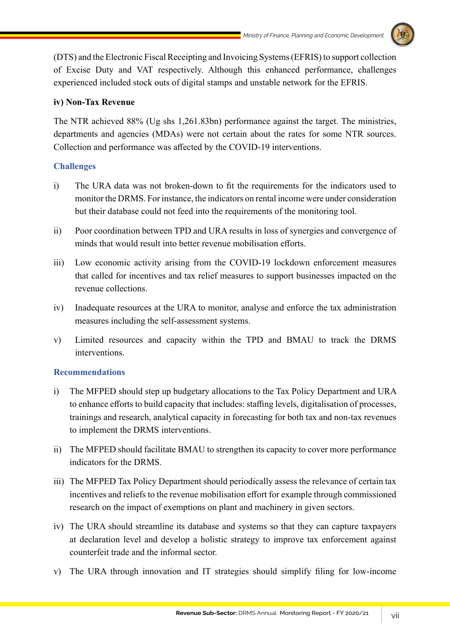

(DTS) and the Electronic Fiscal Receipting and Invoicing Systems (EFRIS) to support collection of Excise Duty and VAT respectively. Although this enhanced performance, challenges experienced included stock outs of digital stamps and unstable network for the EFRIS.

### **iv) Non-Tax Revenue**

The NTR achieved 88% (Ug shs 1,261.83bn) performance against the target. The ministries, departments and agencies (MDAs) were not certain about the rates for some NTR sources. Collection and performance was affected by the COVID-19 interventions.

### **Challenges**

- i) The URA data was not broken-down to fit the requirements for the indicators used to monitor the DRMS. For instance, the indicators on rental income were under consideration but their database could not feed into the requirements of the monitoring tool.
- ii) Poor coordination between TPD and URA results in loss of synergies and convergence of minds that would result into better revenue mobilisation efforts.
- iii) Low economic activity arising from the COVID-19 lockdown enforcement measures that called for incentives and tax relief measures to support businesses impacted on the revenue collections.
- iv) Inadequate resources at the URA to monitor, analyse and enforce the tax administration measures including the self-assessment systems.
- v) Limited resources and capacity within the TPD and BMAU to track the DRMS interventions.

### **Recommendations**

- i) The MFPED should step up budgetary allocations to the Tax Policy Department and URA to enhance efforts to build capacity that includes: staffing levels, digitalisation of processes, trainings and research, analytical capacity in forecasting for both tax and non-tax revenues to implement the DRMS interventions.
- ii) The MFPED should facilitate BMAU to strengthen its capacity to cover more performance indicators for the DRMS.
- iii) The MFPED Tax Policy Department should periodically assess the relevance of certain tax incentives and reliefs to the revenue mobilisation effort for example through commissioned research on the impact of exemptions on plant and machinery in given sectors.
- iv) The URA should streamline its database and systems so that they can capture taxpayers at declaration level and develop a holistic strategy to improve tax enforcement against counterfeit trade and the informal sector.
- v) The URA through innovation and IT strategies should simplify filing for low-income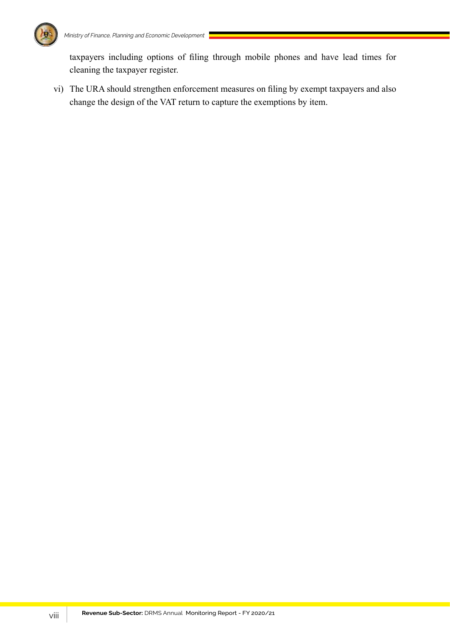

taxpayers including options of filing through mobile phones and have lead times for cleaning the taxpayer register.

vi) The URA should strengthen enforcement measures on filing by exempt taxpayers and also change the design of the VAT return to capture the exemptions by item.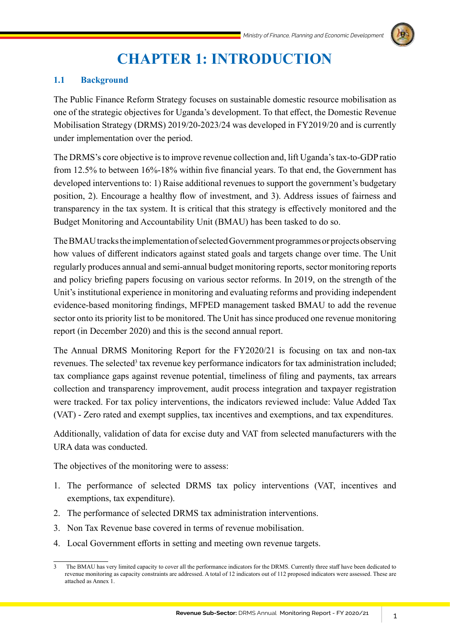

# **CHAPTER 1: INTRODUCTION**

# **1.1 Background**

The Public Finance Reform Strategy focuses on sustainable domestic resource mobilisation as one of the strategic objectives for Uganda's development. To that effect, the Domestic Revenue Mobilisation Strategy (DRMS) 2019/20-2023/24 was developed in FY2019/20 and is currently under implementation over the period.

The DRMS's core objective is to improve revenue collection and, lift Uganda's tax-to-GDP ratio from 12.5% to between 16%-18% within five financial years. To that end, the Government has developed interventions to: 1) Raise additional revenues to support the government's budgetary position, 2). Encourage a healthy flow of investment, and 3). Address issues of fairness and transparency in the tax system. It is critical that this strategy is effectively monitored and the Budget Monitoring and Accountability Unit (BMAU) has been tasked to do so.

The BMAU tracks the implementation of selected Government programmes or projects observing how values of different indicators against stated goals and targets change over time. The Unit regularly produces annual and semi-annual budget monitoring reports, sector monitoring reports and policy briefing papers focusing on various sector reforms. In 2019, on the strength of the Unit's institutional experience in monitoring and evaluating reforms and providing independent evidence-based monitoring findings, MFPED management tasked BMAU to add the revenue sector onto its priority list to be monitored. The Unit has since produced one revenue monitoring report (in December 2020) and this is the second annual report.

The Annual DRMS Monitoring Report for the FY2020/21 is focusing on tax and non-tax revenues. The selected<sup>3</sup> tax revenue key performance indicators for tax administration included; tax compliance gaps against revenue potential, timeliness of filing and payments, tax arrears collection and transparency improvement, audit process integration and taxpayer registration were tracked. For tax policy interventions, the indicators reviewed include: Value Added Tax (VAT) - Zero rated and exempt supplies, tax incentives and exemptions, and tax expenditures.

Additionally, validation of data for excise duty and VAT from selected manufacturers with the URA data was conducted.

The objectives of the monitoring were to assess:

- 1. The performance of selected DRMS tax policy interventions (VAT, incentives and exemptions, tax expenditure).
- 2. The performance of selected DRMS tax administration interventions.
- 3. Non Tax Revenue base covered in terms of revenue mobilisation.
- 4. Local Government efforts in setting and meeting own revenue targets.

<sup>3</sup> The BMAU has very limited capacity to cover all the performance indicators for the DRMS. Currently three staff have been dedicated to revenue monitoring as capacity constraints are addressed. A total of 12 indicators out of 112 proposed indicators were assessed. These are attached as Annex 1.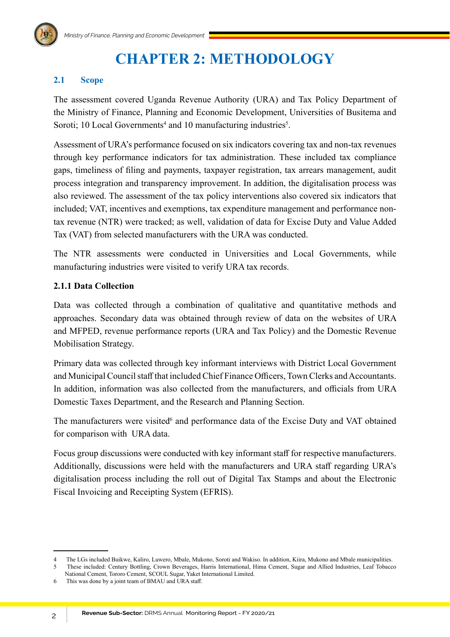# **CHAPTER 2: METHODOLOGY**

# **2.1 Scope**

The assessment covered Uganda Revenue Authority (URA) and Tax Policy Department of the Ministry of Finance, Planning and Economic Development, Universities of Busitema and Soroti; 10 Local Governments<sup>4</sup> and 10 manufacturing industries<sup>5</sup>.

Assessment of URA's performance focused on six indicators covering tax and non-tax revenues through key performance indicators for tax administration. These included tax compliance gaps, timeliness of filing and payments, taxpayer registration, tax arrears management, audit process integration and transparency improvement. In addition, the digitalisation process was also reviewed. The assessment of the tax policy interventions also covered six indicators that included; VAT, incentives and exemptions, tax expenditure management and performance nontax revenue (NTR) were tracked; as well, validation of data for Excise Duty and Value Added Tax (VAT) from selected manufacturers with the URA was conducted.

The NTR assessments were conducted in Universities and Local Governments, while manufacturing industries were visited to verify URA tax records.

# **2.1.1 Data Collection**

Data was collected through a combination of qualitative and quantitative methods and approaches. Secondary data was obtained through review of data on the websites of URA and MFPED, revenue performance reports (URA and Tax Policy) and the Domestic Revenue Mobilisation Strategy.

Primary data was collected through key informant interviews with District Local Government and Municipal Council staff that included Chief Finance Officers, Town Clerks and Accountants. In addition, information was also collected from the manufacturers, and officials from URA Domestic Taxes Department, and the Research and Planning Section.

The manufacturers were visited<sup>6</sup> and performance data of the Excise Duty and VAT obtained for comparison with URA data.

Focus group discussions were conducted with key informant staff for respective manufacturers. Additionally, discussions were held with the manufacturers and URA staff regarding URA's digitalisation process including the roll out of Digital Tax Stamps and about the Electronic Fiscal Invoicing and Receipting System (EFRIS).

<sup>4</sup> The LGs included Buikwe, Kaliro, Luwero, Mbale, Mukono, Soroti and Wakiso. In addition, Kiira, Mukono and Mbale municipalities.<br>5 These included: Century Bottling. Crown Beverages. Harris International. Hima Cement. Suga

<sup>5</sup> These included: Century Bottling, Crown Beverages, Harris International, Hima Cement, Sugar and Allied Industries, Leaf Tobacco National Cement, Tororo Cement, SCOUL Sugar, Yaket International Limited.

<sup>6</sup> This was done by a joint team of BMAU and URA staff.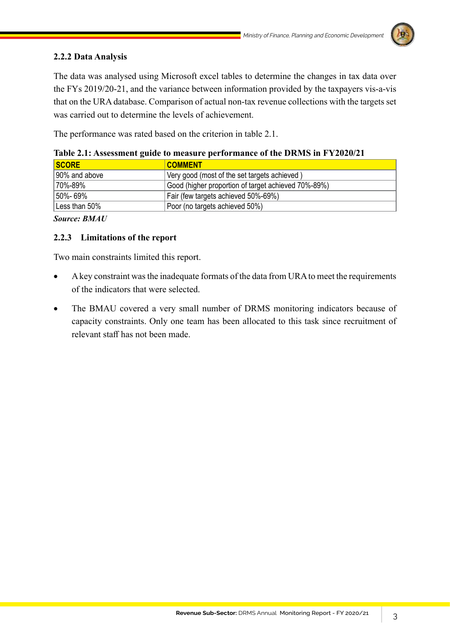# **2.2.2 Data Analysis**

The data was analysed using Microsoft excel tables to determine the changes in tax data over the FYs 2019/20-21, and the variance between information provided by the taxpayers vis-a-vis that on the URA database. Comparison of actual non-tax revenue collections with the targets set was carried out to determine the levels of achievement.

The performance was rated based on the criterion in table 2.1.

| <b>SCORE</b>  | <b>COMMENT</b>                                      |
|---------------|-----------------------------------------------------|
| 90% and above | Very good (most of the set targets achieved)        |
| 70%-89%       | Good (higher proportion of target achieved 70%-89%) |
| 50%-69%       | Fair (few targets achieved 50%-69%)                 |
| Less than 50% | Poor (no targets achieved 50%)                      |

**Table 2.1: Assessment guide to measure performance of the DRMS in FY2020/21**

*Source: BMAU*

## **2.2.3 Limitations of the report**

Two main constraints limited this report.

- A key constraint was the inadequate formats of the data from URA to meet the requirements of the indicators that were selected.
- The BMAU covered a very small number of DRMS monitoring indicators because of capacity constraints. Only one team has been allocated to this task since recruitment of relevant staff has not been made.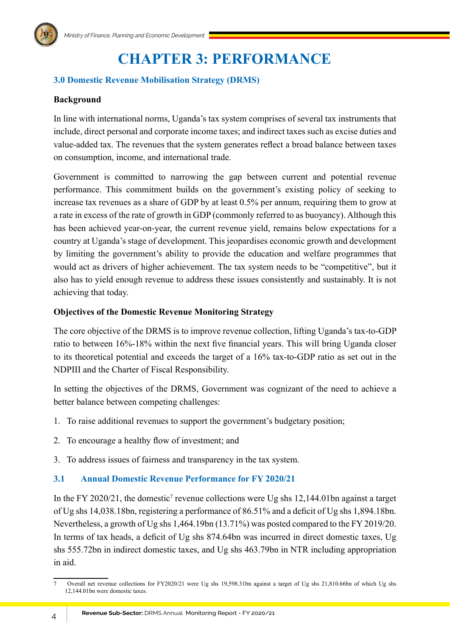

# **CHAPTER 3: PERFORMANCE**

# **3.0 Domestic Revenue Mobilisation Strategy (DRMS)**

### **Background**

In line with international norms, Uganda's tax system comprises of several tax instruments that include, direct personal and corporate income taxes; and indirect taxes such as excise duties and value-added tax. The revenues that the system generates reflect a broad balance between taxes on consumption, income, and international trade.

Government is committed to narrowing the gap between current and potential revenue performance. This commitment builds on the government's existing policy of seeking to increase tax revenues as a share of GDP by at least 0.5% per annum, requiring them to grow at a rate in excess of the rate of growth in GDP (commonly referred to as buoyancy). Although this has been achieved year-on-year, the current revenue yield, remains below expectations for a country at Uganda's stage of development. This jeopardises economic growth and development by limiting the government's ability to provide the education and welfare programmes that would act as drivers of higher achievement. The tax system needs to be "competitive", but it also has to yield enough revenue to address these issues consistently and sustainably. It is not achieving that today.

### **Objectives of the Domestic Revenue Monitoring Strategy**

The core objective of the DRMS is to improve revenue collection, lifting Uganda's tax-to-GDP ratio to between 16%-18% within the next five financial years. This will bring Uganda closer to its theoretical potential and exceeds the target of a 16% tax-to-GDP ratio as set out in the NDPIII and the Charter of Fiscal Responsibility.

In setting the objectives of the DRMS, Government was cognizant of the need to achieve a better balance between competing challenges:

- 1. To raise additional revenues to support the government's budgetary position;
- 2. To encourage a healthy flow of investment; and
- 3. To address issues of fairness and transparency in the tax system.

### **3.1 Annual Domestic Revenue Performance for FY 2020/21**

In the FY 2020/21, the domestic<sup>7</sup> revenue collections were Ug shs 12,144.01bn against a target of Ug shs 14,038.18bn, registering a performance of 86.51% and a deficit of Ug shs 1,894.18bn. Nevertheless, a growth of Ug shs 1,464.19bn (13.71%) was posted compared to the FY 2019/20. In terms of tax heads, a deficit of Ug shs 874.64bn was incurred in direct domestic taxes, Ug shs 555.72bn in indirect domestic taxes, and Ug shs 463.79bn in NTR including appropriation in aid.

<sup>7</sup> Overall net revenue collections for FY2020/21 were Ug shs 19,598.31bn against a target of Ug shs 21,810.66bn of which Ug shs 12,144.01bn were domestic taxes.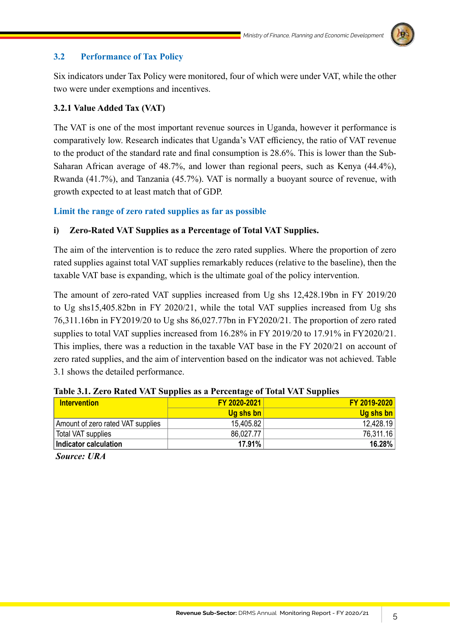

# **3.2 Performance of Tax Policy**

Six indicators under Tax Policy were monitored, four of which were under VAT, while the other two were under exemptions and incentives.

### **3.2.1 Value Added Tax (VAT)**

The VAT is one of the most important revenue sources in Uganda, however it performance is comparatively low. Research indicates that Uganda's VAT efficiency, the ratio of VAT revenue to the product of the standard rate and final consumption is 28.6%. This is lower than the Sub-Saharan African average of 48.7%, and lower than regional peers, such as Kenya (44.4%), Rwanda (41.7%), and Tanzania (45.7%). VAT is normally a buoyant source of revenue, with growth expected to at least match that of GDP.

### **Limit the range of zero rated supplies as far as possible**

### **i) Zero-Rated VAT Supplies as a Percentage of Total VAT Supplies.**

The aim of the intervention is to reduce the zero rated supplies. Where the proportion of zero rated supplies against total VAT supplies remarkably reduces (relative to the baseline), then the taxable VAT base is expanding, which is the ultimate goal of the policy intervention.

The amount of zero-rated VAT supplies increased from Ug shs 12,428.19bn in FY 2019/20 to Ug shs15,405.82bn in FY 2020/21, while the total VAT supplies increased from Ug shs 76,311.16bn in FY2019/20 to Ug shs 86,027.77bn in FY2020/21. The proportion of zero rated supplies to total VAT supplies increased from 16.28% in FY 2019/20 to 17.91% in FY2020/21. This implies, there was a reduction in the taxable VAT base in the FY 2020/21 on account of zero rated supplies, and the aim of intervention based on the indicator was not achieved. Table 3.1 shows the detailed performance.

| <b>Intervention</b>               | FY 2020-2021 | FY 2019-2020 |
|-----------------------------------|--------------|--------------|
|                                   | Ug shs bn    | Ug shs bn    |
| Amount of zero rated VAT supplies | 15,405.82    | 12,428.19    |
| Total VAT supplies                | 86.027.77    | 76,311.16    |
| Indicator calculation             | 17.91%       | 16.28%       |

### **Table 3.1. Zero Rated VAT Supplies as a Percentage of Total VAT Supplies**

 *Source: URA*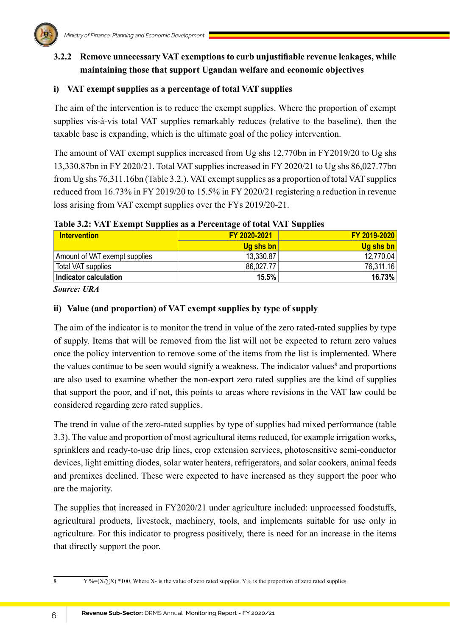# **3.2.2 Remove unnecessary VAT exemptions to curb unjustifiable revenue leakages, while maintaining those that support Ugandan welfare and economic objectives**

# **i) VAT exempt supplies as a percentage of total VAT supplies**

The aim of the intervention is to reduce the exempt supplies. Where the proportion of exempt supplies vis-à-vis total VAT supplies remarkably reduces (relative to the baseline), then the taxable base is expanding, which is the ultimate goal of the policy intervention.

The amount of VAT exempt supplies increased from Ug shs 12,770bn in FY2019/20 to Ug shs 13,330.87bn in FY 2020/21. Total VAT supplies increased in FY 2020/21 to Ug shs 86,027.77bn from Ug shs 76,311.16bn (Table 3.2.). VAT exempt supplies as a proportion of total VAT supplies reduced from 16.73% in FY 2019/20 to 15.5% in FY 2020/21 registering a reduction in revenue loss arising from VAT exempt supplies over the FYs 2019/20-21.

### **Table 3.2: VAT Exempt Supplies as a Percentage of total VAT Supplies**

| <b>Intervention</b>           | FY 2020-2021 | FY 2019-2020 |
|-------------------------------|--------------|--------------|
|                               | Ug shs bn    | Ug shs bn    |
| Amount of VAT exempt supplies | 13,330.87    | 12.770.04    |
| Total VAT supplies            | 86,027.77    | 76,311.16    |
| Indicator calculation         | 15.5%        | 16.73%       |

*Source: URA* 

# **ii) Value (and proportion) of VAT exempt supplies by type of supply**

The aim of the indicator is to monitor the trend in value of the zero rated-rated supplies by type of supply. Items that will be removed from the list will not be expected to return zero values once the policy intervention to remove some of the items from the list is implemented. Where the values continue to be seen would signify a weakness. The indicator values<sup>8</sup> and proportions are also used to examine whether the non-export zero rated supplies are the kind of supplies that support the poor, and if not, this points to areas where revisions in the VAT law could be considered regarding zero rated supplies.

The trend in value of the zero-rated supplies by type of supplies had mixed performance (table 3.3). The value and proportion of most agricultural items reduced, for example irrigation works, sprinklers and ready-to-use drip lines, crop extension services, photosensitive semi-conductor devices, light emitting diodes, solar water heaters, refrigerators, and solar cookers, animal feeds and premixes declined. These were expected to have increased as they support the poor who are the majority.

The supplies that increased in FY2020/21 under agriculture included: unprocessed foodstuffs, agricultural products, livestock, machinery, tools, and implements suitable for use only in agriculture. For this indicator to progress positively, there is need for an increase in the items that directly support the poor.

<sup>8</sup> Y %= $(X \times Y)$  \*100, Where X- is the value of zero rated supplies. Y% is the proportion of zero rated supplies.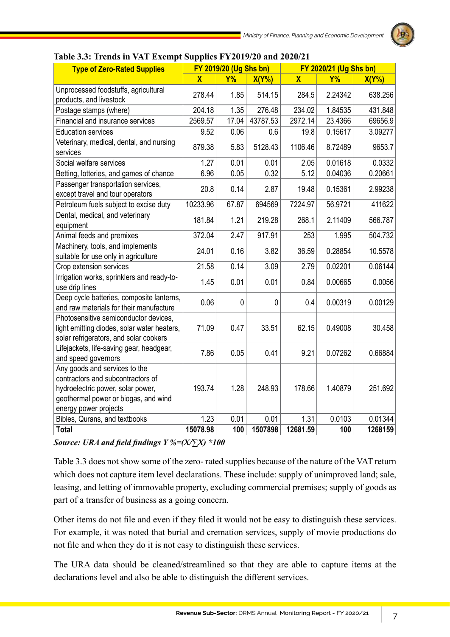

| <b>Type of Zero-Rated Supplies</b>                                                                                                                                       | FY 2019/20 (Ug Shs bn)  |           | FY 2020/21 (Ug Shs bn) |             |           |          |
|--------------------------------------------------------------------------------------------------------------------------------------------------------------------------|-------------------------|-----------|------------------------|-------------|-----------|----------|
|                                                                                                                                                                          | $\overline{\mathbf{X}}$ | <b>Y%</b> | $X(Y\%)$               | $\mathbf x$ | <b>Y%</b> | $X(Y\%)$ |
| Unprocessed foodstuffs, agricultural<br>products, and livestock                                                                                                          | 278.44                  | 1.85      | 514.15                 | 284.5       | 2.24342   | 638.256  |
| Postage stamps (where)                                                                                                                                                   | 204.18                  | 1.35      | 276.48                 | 234.02      | 1.84535   | 431.848  |
| Financial and insurance services                                                                                                                                         | 2569.57                 | 17.04     | 43787.53               | 2972.14     | 23.4366   | 69656.9  |
| <b>Education services</b>                                                                                                                                                | 9.52                    | 0.06      | 0.6                    | 19.8        | 0.15617   | 3.09277  |
| Veterinary, medical, dental, and nursing<br>services                                                                                                                     | 879.38                  | 5.83      | 5128.43                | 1106.46     | 8.72489   | 9653.7   |
| Social welfare services                                                                                                                                                  | 1.27                    | 0.01      | 0.01                   | 2.05        | 0.01618   | 0.0332   |
| Betting, lotteries, and games of chance                                                                                                                                  | 6.96                    | 0.05      | 0.32                   | 5.12        | 0.04036   | 0.20661  |
| Passenger transportation services,<br>except travel and tour operators                                                                                                   | 20.8                    | 0.14      | 2.87                   | 19.48       | 0.15361   | 2.99238  |
| Petroleum fuels subject to excise duty                                                                                                                                   | 10233.96                | 67.87     | 694569                 | 7224.97     | 56.9721   | 411622   |
| Dental, medical, and veterinary<br>equipment                                                                                                                             | 181.84                  | 1.21      | 219.28                 | 268.1       | 2.11409   | 566.787  |
| Animal feeds and premixes                                                                                                                                                | 372.04                  | 2.47      | 917.91                 | 253         | 1.995     | 504.732  |
| Machinery, tools, and implements<br>suitable for use only in agriculture                                                                                                 | 24.01                   | 0.16      | 3.82                   | 36.59       | 0.28854   | 10.5578  |
| Crop extension services                                                                                                                                                  | 21.58                   | 0.14      | 3.09                   | 2.79        | 0.02201   | 0.06144  |
| Irrigation works, sprinklers and ready-to-<br>use drip lines                                                                                                             | 1.45                    | 0.01      | 0.01                   | 0.84        | 0.00665   | 0.0056   |
| Deep cycle batteries, composite lanterns,<br>and raw materials for their manufacture                                                                                     | 0.06                    | 0         | $\mathbf 0$            | 0.4         | 0.00319   | 0.00129  |
| Photosensitive semiconductor devices,<br>light emitting diodes, solar water heaters,<br>solar refrigerators, and solar cookers                                           | 71.09                   | 0.47      | 33.51                  | 62.15       | 0.49008   | 30.458   |
| Lifejackets, life-saving gear, headgear,<br>and speed governors                                                                                                          | 7.86                    | 0.05      | 0.41                   | 9.21        | 0.07262   | 0.66884  |
| Any goods and services to the<br>contractors and subcontractors of<br>hydroelectric power, solar power,<br>geothermal power or biogas, and wind<br>energy power projects | 193.74                  | 1.28      | 248.93                 | 178.66      | 1.40879   | 251.692  |
| Bibles, Qurans, and textbooks                                                                                                                                            | 1.23                    | 0.01      | 0.01                   | 1.31        | 0.0103    | 0.01344  |
| <b>Total</b>                                                                                                                                                             | 15078.98                | 100       | 1507898                | 12681.59    | 100       | 1268159  |

# **Table 3.3: Trends in VAT Exempt Supplies FY2019/20 and 2020/21**

*Source: URA and field findings Y %=(X/∑X) \*100*

Table 3.3 does not show some of the zero- rated supplies because of the nature of the VAT return which does not capture item level declarations. These include: supply of unimproved land; sale, leasing, and letting of immovable property, excluding commercial premises; supply of goods as part of a transfer of business as a going concern.

Other items do not file and even if they filed it would not be easy to distinguish these services. For example, it was noted that burial and cremation services, supply of movie productions do not file and when they do it is not easy to distinguish these services.

The URA data should be cleaned/streamlined so that they are able to capture items at the declarations level and also be able to distinguish the different services.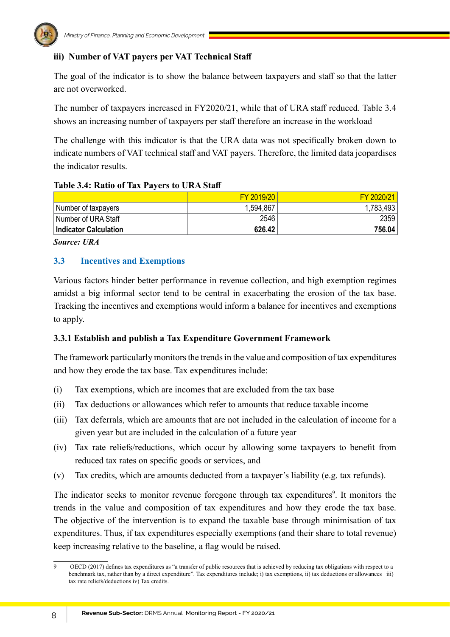

# **iii) Number of VAT payers per VAT Technical Staff**

The goal of the indicator is to show the balance between taxpayers and staff so that the latter are not overworked.

The number of taxpayers increased in FY2020/21, while that of URA staff reduced. Table 3.4 shows an increasing number of taxpayers per staff therefore an increase in the workload

The challenge with this indicator is that the URA data was not specifically broken down to indicate numbers of VAT technical staff and VAT payers. Therefore, the limited data jeopardises the indicator results.

## **Table 3.4: Ratio of Tax Payers to URA Staff**

|                              | FY 2019/20 | FY 2020/21 |
|------------------------------|------------|------------|
| Number of taxpayers          | 1,594,867  | 1,783,493  |
| l Number of URA Staff        | 2546       | 2359       |
| <b>Indicator Calculation</b> | 626.42     | 756.04     |

*Source: URA*

# **3.3 Incentives and Exemptions**

Various factors hinder better performance in revenue collection, and high exemption regimes amidst a big informal sector tend to be central in exacerbating the erosion of the tax base. Tracking the incentives and exemptions would inform a balance for incentives and exemptions to apply.

## **3.3.1 Establish and publish a Tax Expenditure Government Framework**

The framework particularly monitors the trends in the value and composition of tax expenditures and how they erode the tax base. Tax expenditures include:

- (i) Tax exemptions, which are incomes that are excluded from the tax base
- (ii) Tax deductions or allowances which refer to amounts that reduce taxable income
- (iii) Tax deferrals, which are amounts that are not included in the calculation of income for a given year but are included in the calculation of a future year
- (iv) Tax rate reliefs/reductions, which occur by allowing some taxpayers to benefit from reduced tax rates on specific goods or services, and
- (v) Tax credits, which are amounts deducted from a taxpayer's liability (e.g. tax refunds).

The indicator seeks to monitor revenue foregone through tax expenditures<sup>9</sup>. It monitors the trends in the value and composition of tax expenditures and how they erode the tax base. The objective of the intervention is to expand the taxable base through minimisation of tax expenditures. Thus, if tax expenditures especially exemptions (and their share to total revenue) keep increasing relative to the baseline, a flag would be raised.

<sup>9</sup> OECD (2017) defines tax expenditures as "a transfer of public resources that is achieved by reducing tax obligations with respect to a benchmark tax, rather than by a direct expenditure". Tax expenditures include; i) tax exemptions, ii) tax deductions or allowances iii) tax rate reliefs/deductions iv) Tax credits.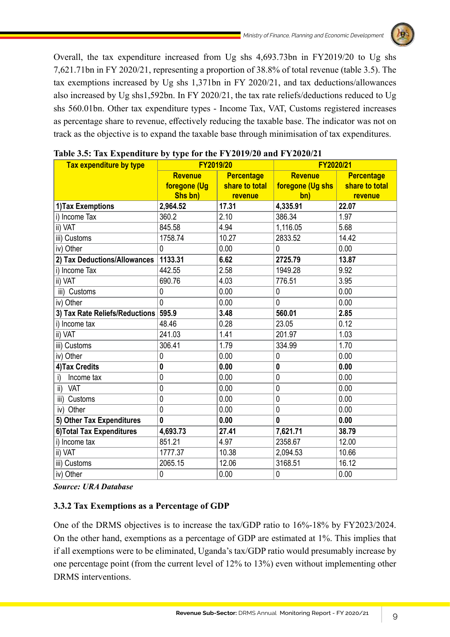Overall, the tax expenditure increased from Ug shs 4,693.73bn in FY2019/20 to Ug shs 7,621.71bn in FY 2020/21, representing a proportion of 38.8% of total revenue (table 3.5). The tax exemptions increased by Ug shs 1,371bn in FY 2020/21, and tax deductions/allowances also increased by Ug shs1,592bn. In FY 2020/21, the tax rate reliefs/deductions reduced to Ug shs 560.01bn. Other tax expenditure types - Income Tax, VAT, Customs registered increases as percentage share to revenue, effectively reducing the taxable base. The indicator was not on track as the objective is to expand the taxable base through minimisation of tax expenditures.

| Tax expenditure by type        | FY2019/20                           |                | FY2020/21        |                |  |
|--------------------------------|-------------------------------------|----------------|------------------|----------------|--|
|                                | <b>Revenue</b><br><b>Percentage</b> |                | <b>Revenue</b>   | Percentage     |  |
|                                | foregone (Ug                        | share to total | foregone (Ug shs | share to total |  |
|                                | Shs bn)                             | revenue        | bn)              | revenue        |  |
| 1) Tax Exemptions              | 2,964.52                            | 17.31          | 4,335.91         | 22.07          |  |
| i) Income Tax                  | 360.2                               | 2.10           | 386.34           | 1.97           |  |
| ii) VAT                        | 845.58                              | 4.94           | 1,116.05         | 5.68           |  |
| iii) Customs                   | 1758.74                             | 10.27          | 2833.52          | 14.42          |  |
| iv) Other                      | $\mathbf 0$                         | 0.00           | 0                | 0.00           |  |
| 2) Tax Deductions/Allowances   | 1133.31                             | 6.62           | 2725.79          | 13.87          |  |
| i) Income Tax                  | 442.55                              | 2.58           | 1949.28          | 9.92           |  |
| ii) VAT                        | 690.76                              | 4.03           | 776.51           | 3.95           |  |
| iii) Customs                   | $\mathbf 0$                         | 0.00           | 0                | 0.00           |  |
| iv) Other                      | $\mathbf{0}$                        | 0.00           | 0                | 0.00           |  |
| 3) Tax Rate Reliefs/Reductions | 595.9                               | 3.48           | 560.01           | 2.85           |  |
| i) Income tax                  | 48.46                               | 0.28           | 23.05            | 0.12           |  |
| ii) VAT                        | 241.03                              | 1.41           | 201.97           | 1.03           |  |
| iii) Customs                   | 306.41                              | 1.79           | 334.99           | 1.70           |  |
| iv) Other                      | $\mathbf{0}$                        | 0.00           | 0                | 0.00           |  |
| 4) Tax Credits                 | $\mathbf 0$                         | 0.00           | 0                | 0.00           |  |
| Income tax<br>i)               | $\mathbf 0$                         | 0.00           | $\mathbf 0$      | 0.00           |  |
| ii) VAT                        | $\mathbf 0$                         | 0.00           | 0                | 0.00           |  |
| iii) Customs                   | $\mathbf 0$                         | 0.00           | 0                | 0.00           |  |
| iv) Other                      | $\mathbf 0$                         | 0.00           | 0                | 0.00           |  |
| 5) Other Tax Expenditures      | $\bf{0}$                            | 0.00           | $\mathbf{0}$     | 0.00           |  |
| 6) Total Tax Expenditures      | 4,693.73                            | 27.41          | 7,621.71         | 38.79          |  |
| i) Income tax                  | 851.21                              | 4.97           | 2358.67          | 12.00          |  |
| ii) VAT                        | 1777.37                             | 10.38          | 2,094.53         | 10.66          |  |
| iii) Customs                   | 2065.15                             | 12.06          | 3168.51          | 16.12          |  |
| iv) Other                      | $\mathbf 0$                         | 0.00           | $\mathbf 0$      | 0.00           |  |

# **Table 3.5: Tax Expenditure by type for the FY2019/20 and FY2020/21**

*Source: URA Database*

## **3.3.2 Tax Exemptions as a Percentage of GDP**

One of the DRMS objectives is to increase the tax/GDP ratio to 16%-18% by FY2023/2024. On the other hand, exemptions as a percentage of GDP are estimated at 1%. This implies that if all exemptions were to be eliminated, Uganda's tax/GDP ratio would presumably increase by one percentage point (from the current level of 12% to 13%) even without implementing other DRMS interventions.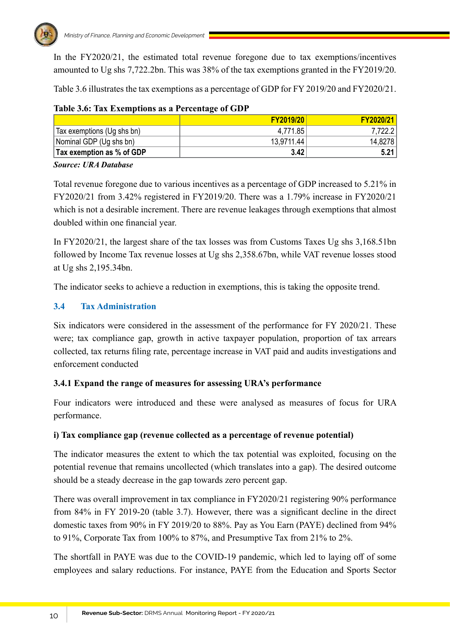

In the FY2020/21, the estimated total revenue foregone due to tax exemptions/incentives amounted to Ug shs 7,722.2bn. This was 38% of the tax exemptions granted in the FY2019/20.

Table 3.6 illustrates the tax exemptions as a percentage of GDP for FY 2019/20 and FY2020/21.

|                            | <b>FY2019/20</b> | FY2020/21 |
|----------------------------|------------------|-----------|
| Tax exemptions (Ug shs bn) | 4,771.85         | 7,722.2   |
| Nominal GDP (Ug shs bn)    | 13.9711.44       | 14,8278   |
| Tax exemption as % of GDP  | 3.42             | 5.21      |

### **Table 3.6: Tax Exemptions as a Percentage of GDP**

### *Source: URA Database*

Total revenue foregone due to various incentives as a percentage of GDP increased to 5.21% in FY2020/21 from 3.42% registered in FY2019/20. There was a 1.79% increase in FY2020/21 which is not a desirable increment. There are revenue leakages through exemptions that almost doubled within one financial year.

In FY2020/21, the largest share of the tax losses was from Customs Taxes Ug shs 3,168.51bn followed by Income Tax revenue losses at Ug shs 2,358.67bn, while VAT revenue losses stood at Ug shs 2,195.34bn.

The indicator seeks to achieve a reduction in exemptions, this is taking the opposite trend.

# **3.4 Tax Administration**

Six indicators were considered in the assessment of the performance for FY 2020/21. These were; tax compliance gap, growth in active taxpayer population, proportion of tax arrears collected, tax returns filing rate, percentage increase in VAT paid and audits investigations and enforcement conducted

# **3.4.1 Expand the range of measures for assessing URA's performance**

Four indicators were introduced and these were analysed as measures of focus for URA performance.

## **i) Tax compliance gap (revenue collected as a percentage of revenue potential)**

The indicator measures the extent to which the tax potential was exploited, focusing on the potential revenue that remains uncollected (which translates into a gap). The desired outcome should be a steady decrease in the gap towards zero percent gap.

There was overall improvement in tax compliance in FY2020/21 registering 90% performance from 84% in FY 2019-20 (table 3.7). However, there was a significant decline in the direct domestic taxes from 90% in FY 2019/20 to 88%. Pay as You Earn (PAYE) declined from 94% to 91%, Corporate Tax from 100% to 87%, and Presumptive Tax from 21% to 2%.

The shortfall in PAYE was due to the COVID-19 pandemic, which led to laying off of some employees and salary reductions. For instance, PAYE from the Education and Sports Sector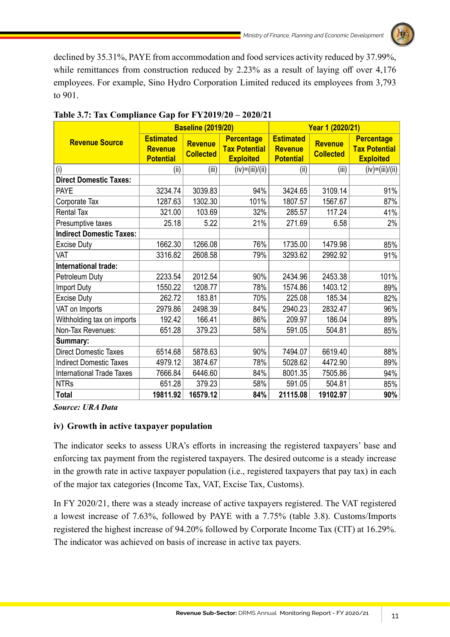

declined by 35.31%, PAYE from accommodation and food services activity reduced by 37.99%, while remittances from construction reduced by 2.23% as a result of laying off over 4,176 employees. For example, Sino Hydro Corporation Limited reduced its employees from 3,793 to 901.

|                                  | <b>Baseline (2019/20)</b>                              |                                    |                                                               |                                                        | Year 1 (2020/21)                   |                                                               |
|----------------------------------|--------------------------------------------------------|------------------------------------|---------------------------------------------------------------|--------------------------------------------------------|------------------------------------|---------------------------------------------------------------|
| <b>Revenue Source</b>            | <b>Estimated</b><br><b>Revenue</b><br><b>Potential</b> | <b>Revenue</b><br><b>Collected</b> | <b>Percentage</b><br><b>Tax Potential</b><br><b>Exploited</b> | <b>Estimated</b><br><b>Revenue</b><br><b>Potential</b> | <b>Revenue</b><br><b>Collected</b> | <b>Percentage</b><br><b>Tax Potential</b><br><b>Exploited</b> |
| (i)                              | (ii)                                                   | (iii)                              | (iv)=(iii)/(ii)                                               | (ii)                                                   | (iii)                              | $(iv)=(iii)/(ii)$                                             |
| <b>Direct Domestic Taxes:</b>    |                                                        |                                    |                                                               |                                                        |                                    |                                                               |
| <b>PAYE</b>                      | 3234.74                                                | 3039.83                            | 94%                                                           | 3424.65                                                | 3109.14                            | 91%                                                           |
| Corporate Tax                    | 1287.63                                                | 1302.30                            | 101%                                                          | 1807.57                                                | 1567.67                            | 87%                                                           |
| <b>Rental Tax</b>                | 321.00                                                 | 103.69                             | 32%                                                           | 285.57                                                 | 117.24                             | 41%                                                           |
| Presumptive taxes                | 25.18                                                  | 5.22                               | 21%                                                           | 271.69                                                 | 6.58                               | 2%                                                            |
| <b>Indirect Domestic Taxes:</b>  |                                                        |                                    |                                                               |                                                        |                                    |                                                               |
| <b>Excise Duty</b>               | 1662.30                                                | 1266.08                            | 76%                                                           | 1735.00                                                | 1479.98                            | 85%                                                           |
| VAT                              | 3316.82                                                | 2608.58                            | 79%                                                           | 3293.62                                                | 2992.92                            | 91%                                                           |
| International trade:             |                                                        |                                    |                                                               |                                                        |                                    |                                                               |
| Petroleum Duty                   | 2233.54                                                | 2012.54                            | 90%                                                           | 2434.96                                                | 2453.38                            | 101%                                                          |
| <b>Import Duty</b>               | 1550.22                                                | 1208.77                            | 78%                                                           | 1574.86                                                | 1403.12                            | 89%                                                           |
| <b>Excise Duty</b>               | 262.72                                                 | 183.81                             | 70%                                                           | 225.08                                                 | 185.34                             | 82%                                                           |
| VAT on Imports                   | 2979.86                                                | 2498.39                            | 84%                                                           | 2940.23                                                | 2832.47                            | 96%                                                           |
| Withholding tax on imports       | 192.42                                                 | 166.41                             | 86%                                                           | 209.97                                                 | 186.04                             | 89%                                                           |
| Non-Tax Revenues:                | 651.28                                                 | 379.23                             | 58%                                                           | 591.05                                                 | 504.81                             | 85%                                                           |
| Summary:                         |                                                        |                                    |                                                               |                                                        |                                    |                                                               |
| <b>Direct Domestic Taxes</b>     | 6514.68                                                | 5878.63                            | 90%                                                           | 7494.07                                                | 6619.40                            | 88%                                                           |
| <b>Indirect Domestic Taxes</b>   | 4979.12                                                | 3874.67                            | 78%                                                           | 5028.62                                                | 4472.90                            | 89%                                                           |
| <b>International Trade Taxes</b> | 7666.84                                                | 6446.60                            | 84%                                                           | 8001.35                                                | 7505.86                            | 94%                                                           |
| <b>NTRs</b>                      | 651.28                                                 | 379.23                             | 58%                                                           | 591.05                                                 | 504.81                             | 85%                                                           |
| <b>Total</b>                     | 19811.92                                               | 16579.12                           | 84%                                                           | 21115.08                                               | 19102.97                           | 90%                                                           |

# **Table 3.7: Tax Compliance Gap for FY2019/20 – 2020/21**

*Source: URA Data*

## **iv) Growth in active taxpayer population**

The indicator seeks to assess URA's efforts in increasing the registered taxpayers' base and enforcing tax payment from the registered taxpayers. The desired outcome is a steady increase in the growth rate in active taxpayer population (i.e., registered taxpayers that pay tax) in each of the major tax categories (Income Tax, VAT, Excise Tax, Customs).

In FY 2020/21, there was a steady increase of active taxpayers registered. The VAT registered a lowest increase of 7.63%, followed by PAYE with a 7.75% (table 3.8). Customs/Imports registered the highest increase of 94.20% followed by Corporate Income Tax (CIT) at 16.29%. The indicator was achieved on basis of increase in active tax payers.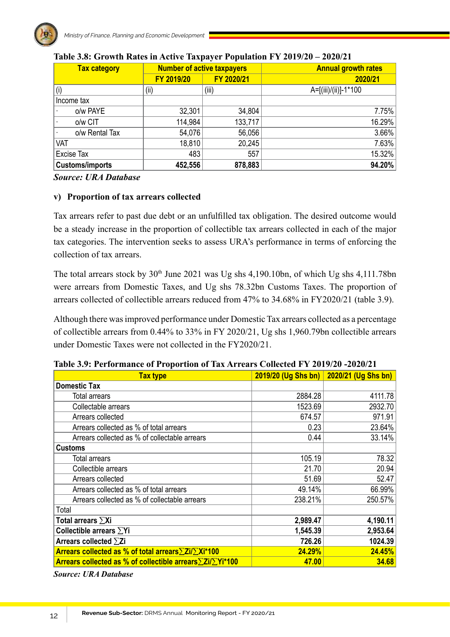

| <b>Tax category</b>    |            | <b>Number of active taxpayers</b> | <b>Annual growth rates</b> |
|------------------------|------------|-----------------------------------|----------------------------|
|                        | FY 2019/20 | FY 2020/21                        | 2020/21                    |
| (i)                    | (i)        | (iii)                             | A=[(iii)/(ii)]-1*100       |
| Income tax             |            |                                   |                            |
| o/w PAYE               | 32,301     | 34,804                            | 7.75%                      |
| o/w CIT                | 114,984    | 133,717                           | 16.29%                     |
| o/w Rental Tax         | 54,076     | 56,056                            | 3.66%                      |
| VAT                    | 18,810     | 20,245                            | 7.63%                      |
| <b>Excise Tax</b>      | 483        | 557                               | 15.32%                     |
| <b>Customs/imports</b> | 452,556    | 878,883                           | 94.20%                     |

### **Table 3.8: Growth Rates in Active Taxpayer Population FY 2019/20 – 2020/21**

*Source: URA Database*

### **v) Proportion of tax arrears collected**

Tax arrears refer to past due debt or an unfulfilled tax obligation. The desired outcome would be a steady increase in the proportion of collectible tax arrears collected in each of the major tax categories. The intervention seeks to assess URA's performance in terms of enforcing the collection of tax arrears.

The total arrears stock by  $30<sup>th</sup>$  June 2021 was Ug shs 4,190.10bn, of which Ug shs 4,111.78bn were arrears from Domestic Taxes, and Ug shs 78.32bn Customs Taxes. The proportion of arrears collected of collectible arrears reduced from 47% to 34.68% in FY2020/21 (table 3.9).

Although there was improved performance under Domestic Tax arrears collected as a percentage of collectible arrears from 0.44% to 33% in FY 2020/21, Ug shs 1,960.79bn collectible arrears under Domestic Taxes were not collected in the FY2020/21.

| <b>Tax type</b>                                          | 2019/20 (Ug Shs bn) | 2020/21 (Ug Shs bn) |
|----------------------------------------------------------|---------------------|---------------------|
| <b>Domestic Tax</b>                                      |                     |                     |
| Total arrears                                            | 2884.28             | 4111.78             |
| Collectable arrears                                      | 1523.69             | 2932.70             |
| Arrears collected                                        | 674.57              | 971.91              |
| Arrears collected as % of total arrears                  | 0.23                | 23.64%              |
| Arrears collected as % of collectable arrears            | 0.44                | 33.14%              |
| <b>Customs</b>                                           |                     |                     |
| Total arrears                                            | 105.19              | 78.32               |
| Collectible arrears                                      | 21.70               | 20.94               |
| Arrears collected                                        | 51.69               | 52.47               |
| Arrears collected as % of total arrears                  | 49.14%              | 66.99%              |
| Arrears collected as % of collectable arrears            | 238.21%             | 250.57%             |
| Total                                                    |                     |                     |
| Total arrears $\sum$ Xi                                  | 2,989.47            | 4,190.11            |
| Collectible arrears $\Sigma$ Yi                          | 1,545.39            | 2,953.64            |
| Arrears collected $\Sigma$ Zi                            | 726.26              | 1024.39             |
| Arrears collected as % of total arrears∑Zi/∑Xi*100       | 24.29%              | 24.45%              |
| Arrears collected as % of collectible arrears∑Zi/∑Yi*100 | 47.00               | 34.68               |

**Table 3.9: Performance of Proportion of Tax Arrears Collected FY 2019/20 -2020/21**

*Source: URA Database*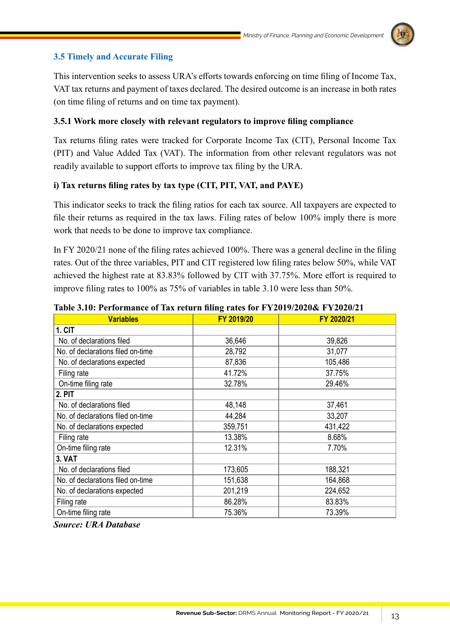# **3.5 Timely and Accurate Filing**

This intervention seeks to assess URA's efforts towards enforcing on time filing of Income Tax, VAT tax returns and payment of taxes declared. The desired outcome is an increase in both rates (on time filing of returns and on time tax payment).

# **3.5.1 Work more closely with relevant regulators to improve filing compliance**

Tax returns filing rates were tracked for Corporate Income Tax (CIT), Personal Income Tax (PIT) and Value Added Tax (VAT). The information from other relevant regulators was not readily available to support efforts to improve tax filing by the URA.

# **i) Tax returns filing rates by tax type (CIT, PIT, VAT, and PAYE)**

This indicator seeks to track the filing ratios for each tax source. All taxpayers are expected to file their returns as required in the tax laws. Filing rates of below 100% imply there is more work that needs to be done to improve tax compliance.

In FY 2020/21 none of the filing rates achieved 100%. There was a general decline in the filing rates. Out of the three variables, PIT and CIT registered low filing rates below 50%, while VAT achieved the highest rate at 83.83% followed by CIT with 37.75%. More effort is required to improve filing rates to 100% as 75% of variables in table 3.10 were less than 50%.

| <b>Variables</b>                  | FY 2019/20 | FY 2020/21 |
|-----------------------------------|------------|------------|
| 1. CIT                            |            |            |
| No. of declarations filed         | 36,646     | 39,826     |
| No. of declarations filed on-time | 28,792     | 31,077     |
| No. of declarations expected      | 87,836     | 105,486    |
| Filing rate                       | 41.72%     | 37.75%     |
| On-time filing rate               | 32.78%     | 29.46%     |
| 2. PIT                            |            |            |
| No. of declarations filed         | 48,148     | 37,461     |
| No. of declarations filed on-time | 44,284     | 33,207     |
| No. of declarations expected      | 359,751    | 431,422    |
| Filing rate                       | 13.38%     | 8.68%      |
| On-time filing rate               | 12.31%     | 7.70%      |
| <b>3. VAT</b>                     |            |            |
| No. of declarations filed         | 173,605    | 188,321    |
| No. of declarations filed on-time | 151,638    | 164,868    |
| No. of declarations expected      | 201,219    | 224,652    |
| Filing rate                       | 86.28%     | 83.83%     |
| On-time filing rate               | 75.36%     | 73.39%     |

**Table 3.10: Performance of Tax return filing rates for FY2019/2020& FY2020/21**

*Source: URA Database*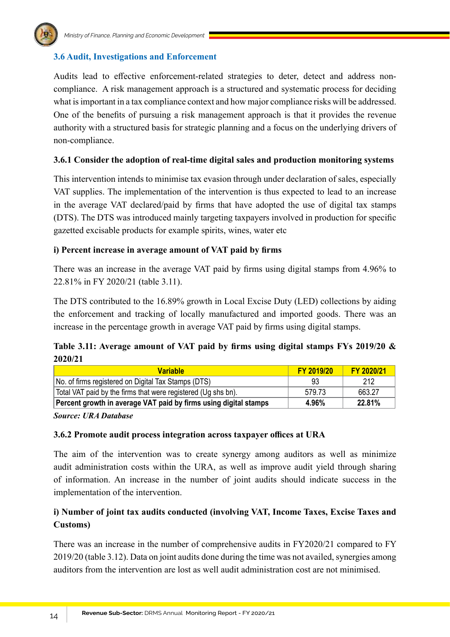

# **3.6 Audit, Investigations and Enforcement**

Audits lead to effective enforcement-related strategies to deter, detect and address noncompliance. A risk management approach is a structured and systematic process for deciding what is important in a tax compliance context and how major compliance risks will be addressed. One of the benefits of pursuing a risk management approach is that it provides the revenue authority with a structured basis for strategic planning and a focus on the underlying drivers of non-compliance.

### **3.6.1 Consider the adoption of real-time digital sales and production monitoring systems**

This intervention intends to minimise tax evasion through under declaration of sales, especially VAT supplies. The implementation of the intervention is thus expected to lead to an increase in the average VAT declared/paid by firms that have adopted the use of digital tax stamps (DTS). The DTS was introduced mainly targeting taxpayers involved in production for specific gazetted excisable products for example spirits, wines, water etc

### **i) Percent increase in average amount of VAT paid by firms**

There was an increase in the average VAT paid by firms using digital stamps from 4.96% to 22.81% in FY 2020/21 (table 3.11).

The DTS contributed to the 16.89% growth in Local Excise Duty (LED) collections by aiding the enforcement and tracking of locally manufactured and imported goods. There was an increase in the percentage growth in average VAT paid by firms using digital stamps.

# **Table 3.11: Average amount of VAT paid by firms using digital stamps FYs 2019/20 & 2020/21**

| <b>Variable</b>                                                  | <b>FY 2019/20</b> | FY 2020/21 |
|------------------------------------------------------------------|-------------------|------------|
| No. of firms registered on Digital Tax Stamps (DTS)              | 93                | 212        |
| Total VAT paid by the firms that were registered (Ug shs bn).    | 579.73            | 663.27     |
| Percent growth in average VAT paid by firms using digital stamps | 4.96%             | 22.81%     |

*Source: URA Database*

### **3.6.2 Promote audit process integration across taxpayer offices at URA**

The aim of the intervention was to create synergy among auditors as well as minimize audit administration costs within the URA, as well as improve audit yield through sharing of information. An increase in the number of joint audits should indicate success in the implementation of the intervention.

# **i) Number of joint tax audits conducted (involving VAT, Income Taxes, Excise Taxes and Customs)**

There was an increase in the number of comprehensive audits in FY2020/21 compared to FY 2019/20 (table 3.12). Data on joint audits done during the time was not availed, synergies among auditors from the intervention are lost as well audit administration cost are not minimised.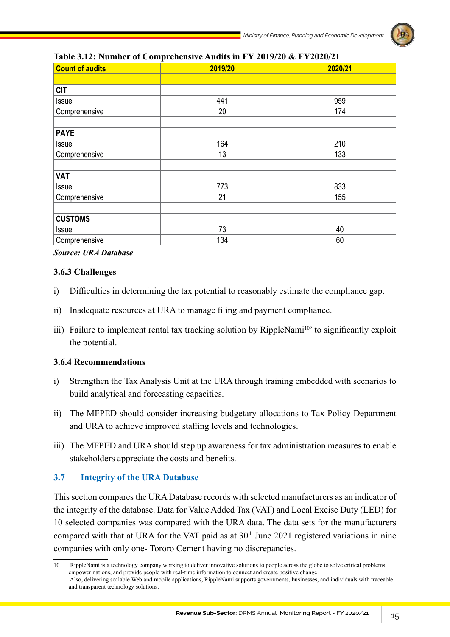

| <b>Count of audits</b> | 2019/20 | 2020/21 |
|------------------------|---------|---------|
|                        |         |         |
| <b>CIT</b>             |         |         |
| <b>Issue</b>           | 441     | 959     |
| Comprehensive          | 20      | 174     |
| <b>PAYE</b>            |         |         |
| Issue                  | 164     | 210     |
| Comprehensive          | 13      | 133     |
| <b>VAT</b>             |         |         |
| Issue                  | 773     | 833     |
| Comprehensive          | 21      | 155     |
| <b>CUSTOMS</b>         |         |         |
| <b>Issue</b>           | 73      | 40      |
| Comprehensive          | 134     | 60      |

### **Table 3.12: Number of Comprehensive Audits in FY 2019/20 & FY2020/21**

*Source: URA Database*

### **3.6.3 Challenges**

- i) Difficulties in determining the tax potential to reasonably estimate the compliance gap.
- ii) Inadequate resources at URA to manage filing and payment compliance.
- iii) Failure to implement rental tax tracking solution by RippleNami<sup>10</sup> to significantly exploit the potential.

### **3.6.4 Recommendations**

- i) Strengthen the Tax Analysis Unit at the URA through training embedded with scenarios to build analytical and forecasting capacities.
- ii) The MFPED should consider increasing budgetary allocations to Tax Policy Department and URA to achieve improved staffing levels and technologies.
- iii) The MFPED and URA should step up awareness for tax administration measures to enable stakeholders appreciate the costs and benefits.

## **3.7 Integrity of the URA Database**

This section compares the URA Database records with selected manufacturers as an indicator of the integrity of the database. Data for Value Added Tax (VAT) and Local Excise Duty (LED) for 10 selected companies was compared with the URA data. The data sets for the manufacturers compared with that at URA for the VAT paid as at  $30<sup>th</sup>$  June 2021 registered variations in nine companies with only one- Tororo Cement having no discrepancies.

<sup>10</sup> RippleNami is a technology company working to deliver innovative solutions to people across the globe to solve critical problems, empower nations, and provide people with real-time information to connect and create positive change. Also, delivering scalable Web and mobile applications, RippleNami supports governments, businesses, and individuals with traceable and transparent technology solutions.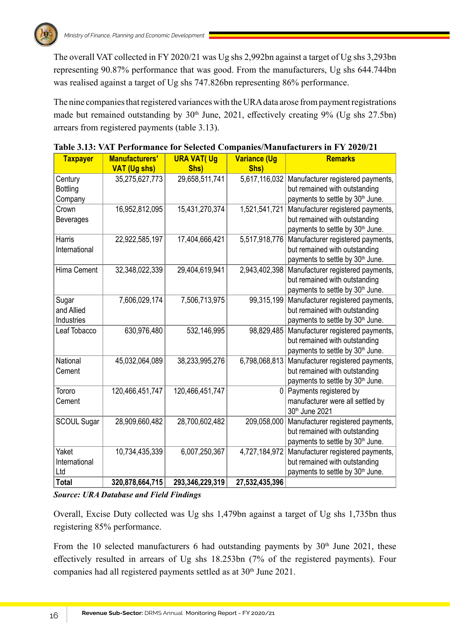The overall VAT collected in FY 2020/21 was Ug shs 2,992bn against a target of Ug shs 3,293bn representing 90.87% performance that was good. From the manufacturers, Ug shs 644.744bn was realised against a target of Ug shs 747.826bn representing 86% performance.

The nine companies that registered variances with the URA data arose from payment registrations made but remained outstanding by  $30<sup>th</sup>$  June, 2021, effectively creating 9% (Ug shs 27.5bn) arrears from registered payments (table 3.13).

| <b>Taxpayer</b>    | Manufacturers'      | <b>URA VAT(Ug</b> | <b>Variance (Ug</b> | <b>Remarks</b>                                                     |
|--------------------|---------------------|-------------------|---------------------|--------------------------------------------------------------------|
|                    | <b>VAT (Ug shs)</b> | Shs)              | Shs)                |                                                                    |
| Century            | 35,275,627,773      | 29,658,511,741    | 5,617,116,032       | Manufacturer registered payments,                                  |
| <b>Bottling</b>    |                     |                   |                     | but remained with outstanding                                      |
| Company            |                     |                   |                     | payments to settle by 30 <sup>th</sup> June.                       |
| Crown              | 16,952,812,095      | 15,431,270,374    | 1,521,541,721       | Manufacturer registered payments,                                  |
| <b>Beverages</b>   |                     |                   |                     | but remained with outstanding                                      |
|                    |                     |                   |                     | payments to settle by 30 <sup>th</sup> June.                       |
| Harris             | 22,922,585,197      | 17,404,666,421    | 5,517,918,776       | Manufacturer registered payments,                                  |
| International      |                     |                   |                     | but remained with outstanding                                      |
|                    |                     |                   |                     | payments to settle by 30 <sup>th</sup> June.                       |
| Hima Cement        | 32,348,022,339      | 29,404,619,941    | 2,943,402,398       | Manufacturer registered payments,                                  |
|                    |                     |                   |                     | but remained with outstanding                                      |
|                    |                     |                   |                     | payments to settle by 30 <sup>th</sup> June.                       |
| Sugar              | 7,606,029,174       | 7,506,713,975     | 99,315,199          | Manufacturer registered payments,                                  |
| and Allied         |                     |                   |                     | but remained with outstanding                                      |
| Industries         |                     |                   |                     | payments to settle by 30 <sup>th</sup> June.                       |
| Leaf Tobacco       | 630,976,480         | 532,146,995       | 98,829,485          | Manufacturer registered payments,                                  |
|                    |                     |                   |                     | but remained with outstanding                                      |
| National           |                     |                   | 6,798,068,813       | payments to settle by 30 <sup>th</sup> June.                       |
| Cement             | 45,032,064,089      | 38,233,995,276    |                     | Manufacturer registered payments,<br>but remained with outstanding |
|                    |                     |                   |                     | payments to settle by 30 <sup>th</sup> June.                       |
| Tororo             | 120,466,451,747     | 120,466,451,747   | 0                   | Payments registered by                                             |
| Cement             |                     |                   |                     | manufacturer were all settled by                                   |
|                    |                     |                   |                     | 30th June 2021                                                     |
| <b>SCOUL Sugar</b> | 28,909,660,482      | 28,700,602,482    | 209,058,000         | Manufacturer registered payments,                                  |
|                    |                     |                   |                     | but remained with outstanding                                      |
|                    |                     |                   |                     | payments to settle by 30 <sup>th</sup> June.                       |
| Yaket              | 10,734,435,339      | 6,007,250,367     | 4,727,184,972       | Manufacturer registered payments,                                  |
| International      |                     |                   |                     | but remained with outstanding                                      |
| Ltd                |                     |                   |                     | payments to settle by 30 <sup>th</sup> June.                       |
| <b>Total</b>       | 320,878,664,715     | 293,346,229,319   | 27,532,435,396      |                                                                    |

| Table 3.13: VAT Performance for Selected Companies/Manufacturers in FY 2020/21 |  |
|--------------------------------------------------------------------------------|--|
|--------------------------------------------------------------------------------|--|

*Source: URA Database and Field Findings*

Overall, Excise Duty collected was Ug shs 1,479bn against a target of Ug shs 1,735bn thus registering 85% performance.

From the 10 selected manufacturers 6 had outstanding payments by  $30<sup>th</sup>$  June 2021, these effectively resulted in arrears of Ug shs 18.253bn (7% of the registered payments). Four companies had all registered payments settled as at 30<sup>th</sup> June 2021.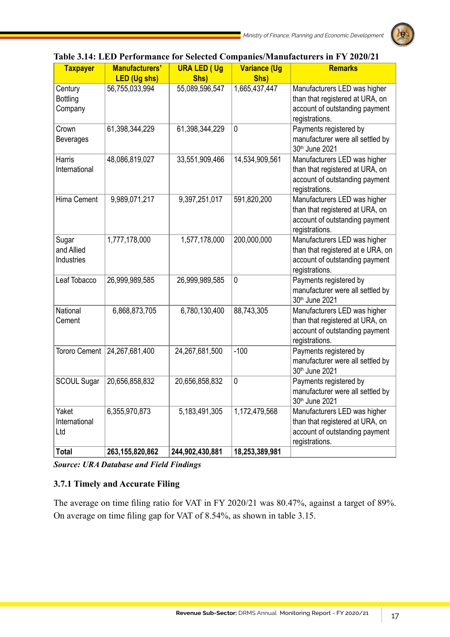

| <b>Taxpayer</b>      | Manufacturers'                        | <b>URA LED (Ug</b>     | <b>Variance (Ug</b>   | <b>Remarks</b>                                     |
|----------------------|---------------------------------------|------------------------|-----------------------|----------------------------------------------------|
| Century              | <b>LED (Ug shs)</b><br>56,755,033,994 | Shs)<br>55,089,596,547 | Shs)<br>1,665,437,447 | Manufacturers LED was higher                       |
| <b>Bottling</b>      |                                       |                        |                       | than that registered at URA, on                    |
| Company              |                                       |                        |                       | account of outstanding payment                     |
|                      |                                       |                        |                       | registrations.                                     |
| Crown                | 61,398,344,229                        | 61,398,344,229         | $\mathbf 0$           | Payments registered by                             |
| <b>Beverages</b>     |                                       |                        |                       | manufacturer were all settled by                   |
|                      |                                       |                        |                       | 30th June 2021                                     |
| Harris               | 48,086,819,027                        | 33,551,909,466         | 14,534,909,561        | Manufacturers LED was higher                       |
| International        |                                       |                        |                       | than that registered at URA, on                    |
|                      |                                       |                        |                       | account of outstanding payment                     |
| Hima Cement          | 9,989,071,217                         | 9,397,251,017          | 591,820,200           | registrations.<br>Manufacturers LED was higher     |
|                      |                                       |                        |                       | than that registered at URA, on                    |
|                      |                                       |                        |                       | account of outstanding payment                     |
|                      |                                       |                        |                       | registrations.                                     |
| Sugar                | 1,777,178,000                         | 1,577,178,000          | 200,000,000           | Manufacturers LED was higher                       |
| and Allied           |                                       |                        |                       | than that registered at e URA, on                  |
| Industries           |                                       |                        |                       | account of outstanding payment                     |
|                      |                                       |                        |                       | registrations.                                     |
| Leaf Tobacco         | 26,999,989,585                        | 26,999,989,585         | $\pmb{0}$             | Payments registered by                             |
|                      |                                       |                        |                       | manufacturer were all settled by<br>30th June 2021 |
| National             | 6,868,873,705                         | 6,780,130,400          | 88,743,305            | Manufacturers LED was higher                       |
| Cement               |                                       |                        |                       | than that registered at URA, on                    |
|                      |                                       |                        |                       | account of outstanding payment                     |
|                      |                                       |                        |                       | registrations.                                     |
| <b>Tororo Cement</b> | 24,267,681,400                        | 24,267,681,500         | $-100$                | Payments registered by                             |
|                      |                                       |                        |                       | manufacturer were all settled by                   |
|                      |                                       |                        |                       | 30th June 2021                                     |
| <b>SCOUL Sugar</b>   | 20,656,858,832                        | 20,656,858,832         | 0                     | Payments registered by                             |
|                      |                                       |                        |                       | manufacturer were all settled by<br>30th June 2021 |
| Yaket                | 6,355,970,873                         | 5,183,491,305          | 1,172,479,568         | Manufacturers LED was higher                       |
| International        |                                       |                        |                       | than that registered at URA, on                    |
| Ltd                  |                                       |                        |                       | account of outstanding payment                     |
|                      |                                       |                        |                       | registrations.                                     |
| <b>Total</b>         | 263,155,820,862                       | 244,902,430,881        | 18,253,389,981        |                                                    |

# **Table 3.14: LED Performance for Selected Companies/Manufacturers in FY 2020/21**

*Source: URA Database and Field Findings*

# **3.7.1 Timely and Accurate Filing**

The average on time filing ratio for VAT in FY 2020/21 was 80.47%, against a target of 89%. On average on time filing gap for VAT of 8.54%, as shown in table 3.15.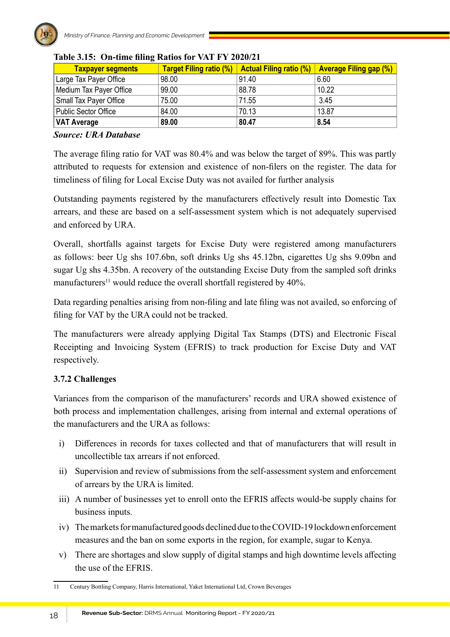

| <b>Taxpayer segments</b>    | <b>Target Filing ratio (%)</b> | <b>Actual Filing ratio (%)</b> | <b>Average Filing gap (%)</b> |
|-----------------------------|--------------------------------|--------------------------------|-------------------------------|
| Large Tax Payer Office      | 98.00                          | 91.40                          | 6.60                          |
| Medium Tax Payer Office     | 99.00                          | 88.78                          | 10.22                         |
| Small Tax Payer Office      | 75.00                          | 71.55                          | 3.45                          |
| <b>Public Sector Office</b> | 84.00                          | 70.13                          | 13.87                         |
| <b>NAT Average</b>          | 89.00                          | 80.47                          | 8.54                          |

# **Table 3.15: On-time filing Ratios for VAT FY 2020/21**

### *Source: URA Database*

The average filing ratio for VAT was 80.4% and was below the target of 89%. This was partly attributed to requests for extension and existence of non-filers on the register. The data for timeliness of filing for Local Excise Duty was not availed for further analysis

Outstanding payments registered by the manufacturers effectively result into Domestic Tax arrears, and these are based on a self-assessment system which is not adequately supervised and enforced by URA.

Overall, shortfalls against targets for Excise Duty were registered among manufacturers as follows: beer Ug shs 107.6bn, soft drinks Ug shs 45.12bn, cigarettes Ug shs 9.09bn and sugar Ug shs 4.35bn. A recovery of the outstanding Excise Duty from the sampled soft drinks manufacturers<sup>11</sup> would reduce the overall shortfall registered by 40%.

Data regarding penalties arising from non-filing and late filing was not availed, so enforcing of filing for VAT by the URA could not be tracked.

The manufacturers were already applying Digital Tax Stamps (DTS) and Electronic Fiscal Receipting and Invoicing System (EFRIS) to track production for Excise Duty and VAT respectively.

# **3.7.2 Challenges**

Variances from the comparison of the manufacturers' records and URA showed existence of both process and implementation challenges, arising from internal and external operations of the manufacturers and the URA as follows:

- i) Differences in records for taxes collected and that of manufacturers that will result in uncollectible tax arrears if not enforced.
- ii) Supervision and review of submissions from the self-assessment system and enforcement of arrears by the URA is limited.
- iii) A number of businesses yet to enroll onto the EFRIS affects would-be supply chains for business inputs.
- iv) The markets for manufactured goods declined due to the COVID-19 lockdown enforcement measures and the ban on some exports in the region, for example, sugar to Kenya.
- v) There are shortages and slow supply of digital stamps and high downtime levels affecting the use of the EFRIS.

<sup>11</sup> Century Bottling Company, Harris International, Yaket International Ltd, Crown Beverages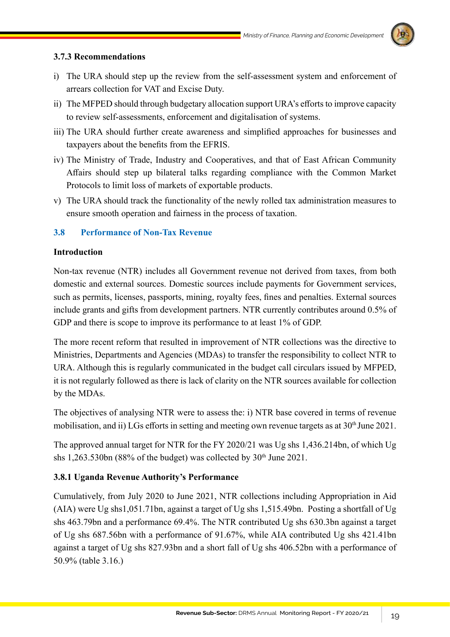

### **3.7.3 Recommendations**

- i) The URA should step up the review from the self-assessment system and enforcement of arrears collection for VAT and Excise Duty.
- ii) The MFPED should through budgetary allocation support URA's efforts to improve capacity to review self-assessments, enforcement and digitalisation of systems.
- iii) The URA should further create awareness and simplified approaches for businesses and taxpayers about the benefits from the EFRIS.
- iv) The Ministry of Trade, Industry and Cooperatives, and that of East African Community Affairs should step up bilateral talks regarding compliance with the Common Market Protocols to limit loss of markets of exportable products.
- v) The URA should track the functionality of the newly rolled tax administration measures to ensure smooth operation and fairness in the process of taxation.

## **3.8 Performance of Non-Tax Revenue**

### **Introduction**

Non-tax revenue (NTR) includes all Government revenue not derived from taxes, from both domestic and external sources. Domestic sources include payments for Government services, such as permits, licenses, passports, mining, royalty fees, fines and penalties. External sources include grants and gifts from development partners. NTR currently contributes around 0.5% of GDP and there is scope to improve its performance to at least 1% of GDP.

The more recent reform that resulted in improvement of NTR collections was the directive to Ministries, Departments and Agencies (MDAs) to transfer the responsibility to collect NTR to URA. Although this is regularly communicated in the budget call circulars issued by MFPED, it is not regularly followed as there is lack of clarity on the NTR sources available for collection by the MDAs.

The objectives of analysing NTR were to assess the: i) NTR base covered in terms of revenue mobilisation, and ii) LGs efforts in setting and meeting own revenue targets as at 30<sup>th</sup> June 2021.

The approved annual target for NTR for the FY 2020/21 was Ug shs 1,436.214bn, of which Ug shs 1,263.530bn (88% of the budget) was collected by  $30<sup>th</sup>$  June 2021.

## **3.8.1 Uganda Revenue Authority's Performance**

Cumulatively, from July 2020 to June 2021, NTR collections including Appropriation in Aid (AIA) were Ug shs1,051.71bn, against a target of Ug shs 1,515.49bn. Posting a shortfall of Ug shs 463.79bn and a performance 69.4%. The NTR contributed Ug shs 630.3bn against a target of Ug shs 687.56bn with a performance of 91.67%, while AIA contributed Ug shs 421.41bn against a target of Ug shs 827.93bn and a short fall of Ug shs 406.52bn with a performance of 50.9% (table 3.16.)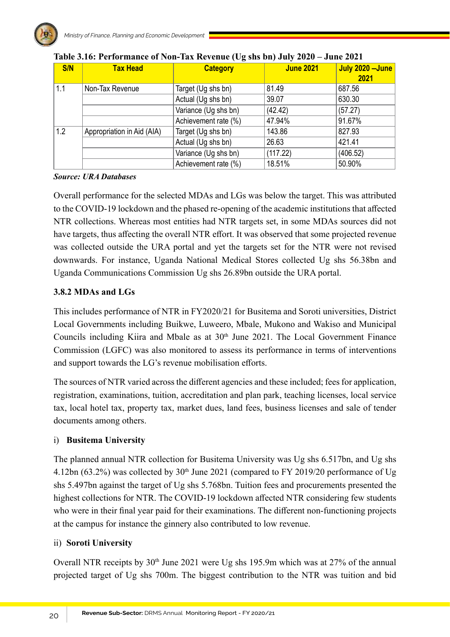| S/N | <b>Tax Head</b>            | <b>Category</b>      | <b>June 2021</b> | July 2020 - June<br>2021 |
|-----|----------------------------|----------------------|------------------|--------------------------|
| 1.1 | Non-Tax Revenue            | Target (Ug shs bn)   | 81.49            | 687.56                   |
|     |                            | Actual (Ug shs bn)   | 39.07            | 630.30                   |
|     |                            | Variance (Ug shs bn) | (42.42)          | (57.27)                  |
|     |                            | Achievement rate (%) | 47.94%           | 91.67%                   |
| 1.2 | Appropriation in Aid (AIA) | Target (Ug shs bn)   | 143.86           | 827.93                   |
|     |                            | Actual (Ug shs bn)   | 26.63            | 421.41                   |
|     |                            | Variance (Ug shs bn) | (117.22)         | (406.52)                 |
|     |                            | Achievement rate (%) | 18.51%           | 50.90%                   |

### *Source: URA Databases*

Overall performance for the selected MDAs and LGs was below the target. This was attributed to the COVID-19 lockdown and the phased re-opening of the academic institutions that affected NTR collections. Whereas most entities had NTR targets set, in some MDAs sources did not have targets, thus affecting the overall NTR effort. It was observed that some projected revenue was collected outside the URA portal and yet the targets set for the NTR were not revised downwards. For instance, Uganda National Medical Stores collected Ug shs 56.38bn and Uganda Communications Commission Ug shs 26.89bn outside the URA portal.

# **3.8.2 MDAs and LGs**

This includes performance of NTR in FY2020/21 for Busitema and Soroti universities, District Local Governments including Buikwe, Luweero, Mbale, Mukono and Wakiso and Municipal Councils including Kiira and Mbale as at  $30<sup>th</sup>$  June 2021. The Local Government Finance Commission (LGFC) was also monitored to assess its performance in terms of interventions and support towards the LG's revenue mobilisation efforts.

The sources of NTR varied across the different agencies and these included; fees for application, registration, examinations, tuition, accreditation and plan park, teaching licenses, local service tax, local hotel tax, property tax, market dues, land fees, business licenses and sale of tender documents among others.

## i) **Busitema University**

The planned annual NTR collection for Busitema University was Ug shs 6.517bn, and Ug shs 4.12bn (63.2%) was collected by 30<sup>th</sup> June 2021 (compared to FY 2019/20 performance of Ug shs 5.497bn against the target of Ug shs 5.768bn. Tuition fees and procurements presented the highest collections for NTR. The COVID-19 lockdown affected NTR considering few students who were in their final year paid for their examinations. The different non-functioning projects at the campus for instance the ginnery also contributed to low revenue.

## ii) **Soroti University**

Overall NTR receipts by  $30<sup>th</sup>$  June 2021 were Ug shs 195.9m which was at 27% of the annual projected target of Ug shs 700m. The biggest contribution to the NTR was tuition and bid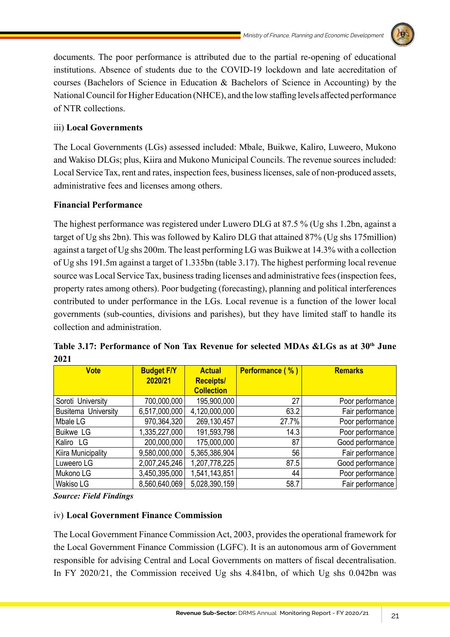

documents. The poor performance is attributed due to the partial re-opening of educational institutions. Absence of students due to the COVID-19 lockdown and late accreditation of courses (Bachelors of Science in Education & Bachelors of Science in Accounting) by the National Council for Higher Education (NHCE), and the low staffing levels affected performance of NTR collections.

# iii) **Local Governments**

The Local Governments (LGs) assessed included: Mbale, Buikwe, Kaliro, Luweero, Mukono and Wakiso DLGs; plus, Kiira and Mukono Municipal Councils. The revenue sources included: Local Service Tax, rent and rates, inspection fees, business licenses, sale of non-produced assets, administrative fees and licenses among others.

# **Financial Performance**

The highest performance was registered under Luwero DLG at 87.5 % (Ug shs 1.2bn, against a target of Ug shs 2bn). This was followed by Kaliro DLG that attained 87% (Ug shs 175million) against a target of Ug shs 200m. The least performing LG was Buikwe at 14.3% with a collection of Ug shs 191.5m against a target of 1.335bn (table 3.17). The highest performing local revenue source was Local Service Tax, business trading licenses and administrative fees (inspection fees, property rates among others). Poor budgeting (forecasting), planning and political interferences contributed to under performance in the LGs. Local revenue is a function of the lower local governments (sub-counties, divisions and parishes), but they have limited staff to handle its collection and administration.

| <b>Vote</b>                | <b>Budget F/Y</b> | <b>Actual</b>     | Performance (%) | <b>Remarks</b>   |
|----------------------------|-------------------|-------------------|-----------------|------------------|
|                            | 2020/21           | <b>Receipts/</b>  |                 |                  |
|                            |                   | <b>Collection</b> |                 |                  |
| Soroti University          | 700,000,000       | 195,900,000       | 27              | Poor performance |
| <b>Busitema University</b> | 6,517,000,000     | 4,120,000,000     | 63.2            | Fair performance |
| Mbale LG                   | 970,364,320       | 269,130,457       | 27.7%           | Poor performance |
| <b>Buikwe LG</b>           | 1,335,227,000     | 191,593,798       | 14.3            | Poor performance |
| Kaliro LG                  | 200,000,000       | 175,000,000       | 87              | Good performance |
| Kiira Municipality         | 9,580,000,000     | 5,365,386,904     | 56              | Fair performance |
| Luweero LG                 | 2,007,245,246     | 1,207,778,225     | 87.5            | Good performance |
| Mukono LG                  | 3,450,395,000     | 1,541,143,851     | 44              | Poor performance |
| Wakiso LG                  | 8,560,640,069     | 5,028,390,159     | 58.7            | Fair performance |

**Table 3.17: Performance of Non Tax Revenue for selected MDAs &LGs as at 30th June 2021**

*Source: Field Findings*

# iv) **Local Government Finance Commission**

The Local Government Finance Commission Act, 2003, provides the operational framework for the Local Government Finance Commission (LGFC). It is an autonomous arm of Government responsible for advising Central and Local Governments on matters of fiscal decentralisation. In FY 2020/21, the Commission received Ug shs 4.841bn, of which Ug shs 0.042bn was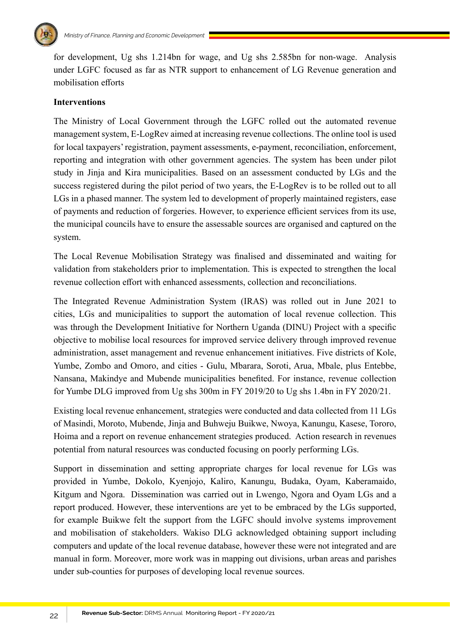

for development, Ug shs 1.214bn for wage, and Ug shs 2.585bn for non-wage. Analysis under LGFC focused as far as NTR support to enhancement of LG Revenue generation and mobilisation efforts

### **Interventions**

The Ministry of Local Government through the LGFC rolled out the automated revenue management system, E-LogRev aimed at increasing revenue collections. The online tool is used for local taxpayers' registration, payment assessments, e-payment, reconciliation, enforcement, reporting and integration with other government agencies. The system has been under pilot study in Jinja and Kira municipalities. Based on an assessment conducted by LGs and the success registered during the pilot period of two years, the E-LogRev is to be rolled out to all LGs in a phased manner. The system led to development of properly maintained registers, ease of payments and reduction of forgeries. However, to experience efficient services from its use, the municipal councils have to ensure the assessable sources are organised and captured on the system.

The Local Revenue Mobilisation Strategy was finalised and disseminated and waiting for validation from stakeholders prior to implementation. This is expected to strengthen the local revenue collection effort with enhanced assessments, collection and reconciliations.

The Integrated Revenue Administration System (IRAS) was rolled out in June 2021 to cities, LGs and municipalities to support the automation of local revenue collection. This was through the Development Initiative for Northern Uganda (DINU) Project with a specific objective to mobilise local resources for improved service delivery through improved revenue administration, asset management and revenue enhancement initiatives. Five districts of Kole, Yumbe, Zombo and Omoro, and cities - Gulu, Mbarara, Soroti, Arua, Mbale, plus Entebbe, Nansana, Makindye and Mubende municipalities benefited. For instance, revenue collection for Yumbe DLG improved from Ug shs 300m in FY 2019/20 to Ug shs 1.4bn in FY 2020/21.

Existing local revenue enhancement, strategies were conducted and data collected from 11 LGs of Masindi, Moroto, Mubende, Jinja and Buhweju Buikwe, Nwoya, Kanungu, Kasese, Tororo, Hoima and a report on revenue enhancement strategies produced. Action research in revenues potential from natural resources was conducted focusing on poorly performing LGs.

Support in dissemination and setting appropriate charges for local revenue for LGs was provided in Yumbe, Dokolo, Kyenjojo, Kaliro, Kanungu, Budaka, Oyam, Kaberamaido, Kitgum and Ngora. Dissemination was carried out in Lwengo, Ngora and Oyam LGs and a report produced. However, these interventions are yet to be embraced by the LGs supported, for example Buikwe felt the support from the LGFC should involve systems improvement and mobilisation of stakeholders. Wakiso DLG acknowledged obtaining support including computers and update of the local revenue database, however these were not integrated and are manual in form. Moreover, more work was in mapping out divisions, urban areas and parishes under sub-counties for purposes of developing local revenue sources.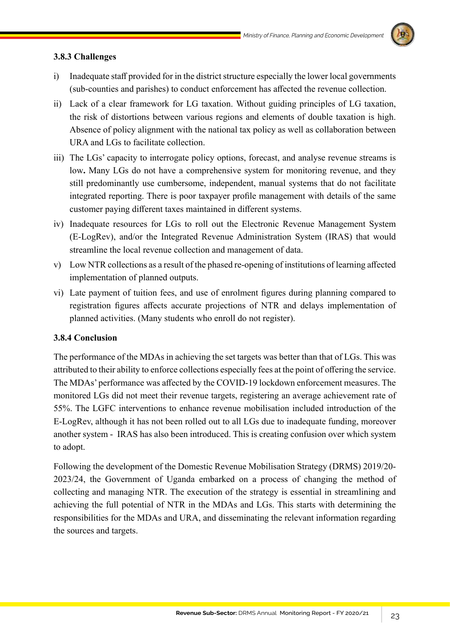

## **3.8.3 Challenges**

- i) Inadequate staff provided for in the district structure especially the lower local governments (sub-counties and parishes) to conduct enforcement has affected the revenue collection.
- ii) Lack of a clear framework for LG taxation. Without guiding principles of LG taxation, the risk of distortions between various regions and elements of double taxation is high. Absence of policy alignment with the national tax policy as well as collaboration between URA and LGs to facilitate collection.
- iii) The LGs' capacity to interrogate policy options, forecast, and analyse revenue streams is low**.** Many LGs do not have a comprehensive system for monitoring revenue, and they still predominantly use cumbersome, independent, manual systems that do not facilitate integrated reporting. There is poor taxpayer profile management with details of the same customer paying different taxes maintained in different systems.
- iv) Inadequate resources for LGs to roll out the Electronic Revenue Management System (E-LogRev), and/or the Integrated Revenue Administration System (IRAS) that would streamline the local revenue collection and management of data.
- v) Low NTR collections as a result of the phased re-opening of institutions of learning affected implementation of planned outputs.
- vi) Late payment of tuition fees, and use of enrolment figures during planning compared to registration figures affects accurate projections of NTR and delays implementation of planned activities. (Many students who enroll do not register).

## **3.8.4 Conclusion**

The performance of the MDAs in achieving the set targets was better than that of LGs. This was attributed to their ability to enforce collections especially fees at the point of offering the service. The MDAs' performance was affected by the COVID-19 lockdown enforcement measures. The monitored LGs did not meet their revenue targets, registering an average achievement rate of 55%. The LGFC interventions to enhance revenue mobilisation included introduction of the E-LogRev, although it has not been rolled out to all LGs due to inadequate funding, moreover another system - IRAS has also been introduced. This is creating confusion over which system to adopt.

Following the development of the Domestic Revenue Mobilisation Strategy (DRMS) 2019/20- 2023/24, the Government of Uganda embarked on a process of changing the method of collecting and managing NTR. The execution of the strategy is essential in streamlining and achieving the full potential of NTR in the MDAs and LGs. This starts with determining the responsibilities for the MDAs and URA, and disseminating the relevant information regarding the sources and targets.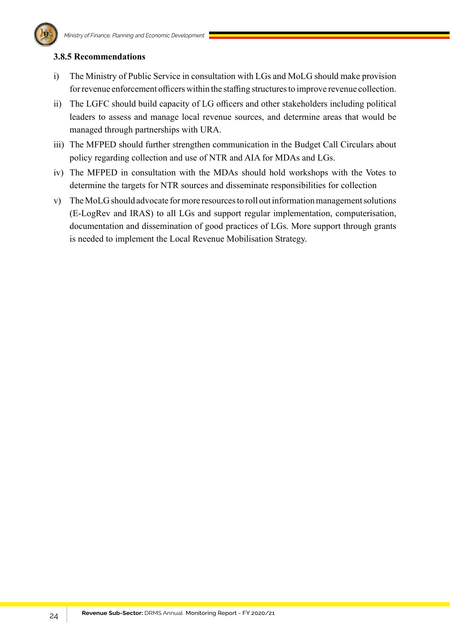

### **3.8.5 Recommendations**

- i) The Ministry of Public Service in consultation with LGs and MoLG should make provision for revenue enforcement officers within the staffing structures to improve revenue collection.
- ii) The LGFC should build capacity of LG officers and other stakeholders including political leaders to assess and manage local revenue sources, and determine areas that would be managed through partnerships with URA.
- iii) The MFPED should further strengthen communication in the Budget Call Circulars about policy regarding collection and use of NTR and AIA for MDAs and LGs.
- iv) The MFPED in consultation with the MDAs should hold workshops with the Votes to determine the targets for NTR sources and disseminate responsibilities for collection
- v) The MoLG should advocate for more resources to roll out information management solutions (E-LogRev and IRAS) to all LGs and support regular implementation, computerisation, documentation and dissemination of good practices of LGs. More support through grants is needed to implement the Local Revenue Mobilisation Strategy.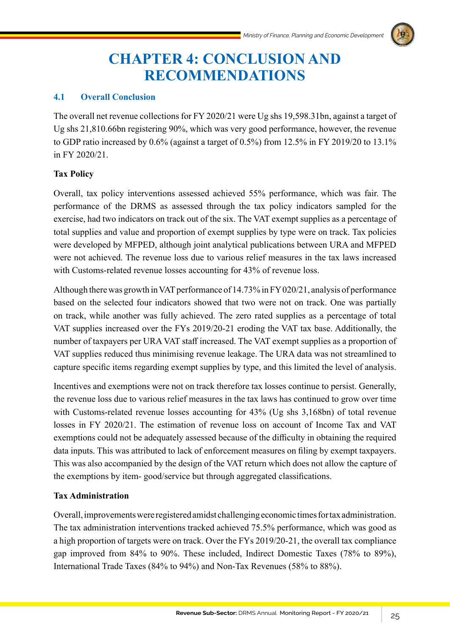

# **CHAPTER 4: CONCLUSION AND RECOMMENDATIONS**

## **4.1 Overall Conclusion**

The overall net revenue collections for FY 2020/21 were Ug shs 19,598.31bn, against a target of Ug shs 21,810.66bn registering 90%, which was very good performance, however, the revenue to GDP ratio increased by 0.6% (against a target of 0.5%) from 12.5% in FY 2019/20 to 13.1% in FY 2020/21.

## **Tax Policy**

Overall, tax policy interventions assessed achieved 55% performance, which was fair. The performance of the DRMS as assessed through the tax policy indicators sampled for the exercise, had two indicators on track out of the six. The VAT exempt supplies as a percentage of total supplies and value and proportion of exempt supplies by type were on track. Tax policies were developed by MFPED, although joint analytical publications between URA and MFPED were not achieved. The revenue loss due to various relief measures in the tax laws increased with Customs-related revenue losses accounting for 43% of revenue loss.

Although there was growth in VAT performance of 14.73% in FY 020/21, analysis of performance based on the selected four indicators showed that two were not on track. One was partially on track, while another was fully achieved. The zero rated supplies as a percentage of total VAT supplies increased over the FYs 2019/20-21 eroding the VAT tax base. Additionally, the number of taxpayers per URA VAT staff increased. The VAT exempt supplies as a proportion of VAT supplies reduced thus minimising revenue leakage. The URA data was not streamlined to capture specific items regarding exempt supplies by type, and this limited the level of analysis.

Incentives and exemptions were not on track therefore tax losses continue to persist. Generally, the revenue loss due to various relief measures in the tax laws has continued to grow over time with Customs-related revenue losses accounting for 43% (Ug shs 3,168bn) of total revenue losses in FY 2020/21. The estimation of revenue loss on account of Income Tax and VAT exemptions could not be adequately assessed because of the difficulty in obtaining the required data inputs. This was attributed to lack of enforcement measures on filing by exempt taxpayers. This was also accompanied by the design of the VAT return which does not allow the capture of the exemptions by item- good/service but through aggregated classifications.

### **Tax Administration**

Overall, improvements were registered amidst challenging economic times for tax administration. The tax administration interventions tracked achieved 75.5% performance, which was good as a high proportion of targets were on track. Over the FYs 2019/20-21, the overall tax compliance gap improved from 84% to 90%. These included, Indirect Domestic Taxes (78% to 89%), International Trade Taxes (84% to 94%) and Non-Tax Revenues (58% to 88%).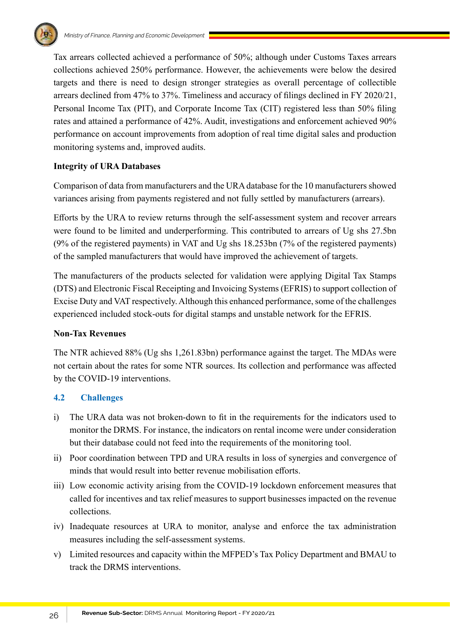Tax arrears collected achieved a performance of 50%; although under Customs Taxes arrears collections achieved 250% performance. However, the achievements were below the desired targets and there is need to design stronger strategies as overall percentage of collectible arrears declined from 47% to 37%. Timeliness and accuracy of filings declined in FY 2020/21, Personal Income Tax (PIT), and Corporate Income Tax (CIT) registered less than 50% filing rates and attained a performance of 42%. Audit, investigations and enforcement achieved 90% performance on account improvements from adoption of real time digital sales and production monitoring systems and, improved audits.

## **Integrity of URA Databases**

Comparison of data from manufacturers and the URA database for the 10 manufacturers showed variances arising from payments registered and not fully settled by manufacturers (arrears).

Efforts by the URA to review returns through the self-assessment system and recover arrears were found to be limited and underperforming. This contributed to arrears of Ug shs 27.5bn (9% of the registered payments) in VAT and Ug shs 18.253bn (7% of the registered payments) of the sampled manufacturers that would have improved the achievement of targets.

The manufacturers of the products selected for validation were applying Digital Tax Stamps (DTS) and Electronic Fiscal Receipting and Invoicing Systems (EFRIS) to support collection of Excise Duty and VAT respectively. Although this enhanced performance, some of the challenges experienced included stock-outs for digital stamps and unstable network for the EFRIS.

### **Non-Tax Revenues**

The NTR achieved 88% (Ug shs 1,261.83bn) performance against the target. The MDAs were not certain about the rates for some NTR sources. Its collection and performance was affected by the COVID-19 interventions.

### **4.2 Challenges**

- i) The URA data was not broken-down to fit in the requirements for the indicators used to monitor the DRMS. For instance, the indicators on rental income were under consideration but their database could not feed into the requirements of the monitoring tool.
- ii) Poor coordination between TPD and URA results in loss of synergies and convergence of minds that would result into better revenue mobilisation efforts.
- iii) Low economic activity arising from the COVID-19 lockdown enforcement measures that called for incentives and tax relief measures to support businesses impacted on the revenue collections.
- iv) Inadequate resources at URA to monitor, analyse and enforce the tax administration measures including the self-assessment systems.
- v) Limited resources and capacity within the MFPED's Tax Policy Department and BMAU to track the DRMS interventions.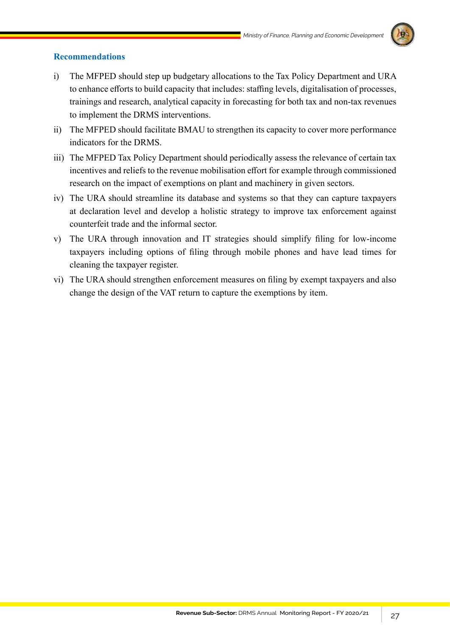

### **Recommendations**

- i) The MFPED should step up budgetary allocations to the Tax Policy Department and URA to enhance efforts to build capacity that includes: staffing levels, digitalisation of processes, trainings and research, analytical capacity in forecasting for both tax and non-tax revenues to implement the DRMS interventions.
- ii) The MFPED should facilitate BMAU to strengthen its capacity to cover more performance indicators for the DRMS.
- iii) The MFPED Tax Policy Department should periodically assess the relevance of certain tax incentives and reliefs to the revenue mobilisation effort for example through commissioned research on the impact of exemptions on plant and machinery in given sectors.
- iv) The URA should streamline its database and systems so that they can capture taxpayers at declaration level and develop a holistic strategy to improve tax enforcement against counterfeit trade and the informal sector.
- v) The URA through innovation and IT strategies should simplify filing for low-income taxpayers including options of filing through mobile phones and have lead times for cleaning the taxpayer register.
- vi) The URA should strengthen enforcement measures on filing by exempt taxpayers and also change the design of the VAT return to capture the exemptions by item.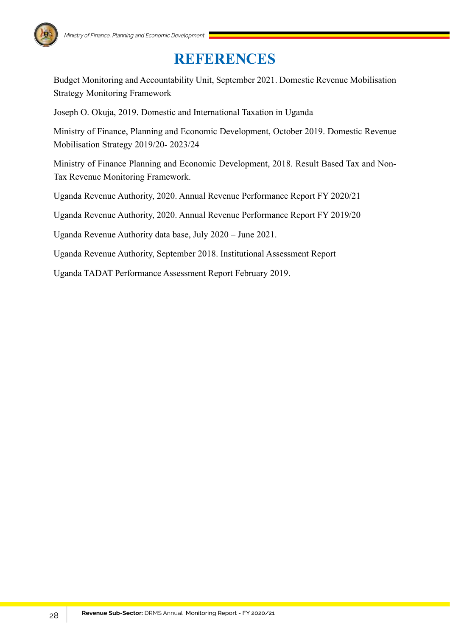# **REFERENCES**

Budget Monitoring and Accountability Unit, September 2021. Domestic Revenue Mobilisation Strategy Monitoring Framework

Joseph O. Okuja, 2019. Domestic and International Taxation in Uganda

Ministry of Finance, Planning and Economic Development, October 2019. Domestic Revenue Mobilisation Strategy 2019/20- 2023/24

Ministry of Finance Planning and Economic Development, 2018. Result Based Tax and Non-Tax Revenue Monitoring Framework.

Uganda Revenue Authority, 2020. Annual Revenue Performance Report FY 2020/21

Uganda Revenue Authority, 2020. Annual Revenue Performance Report FY 2019/20

Uganda Revenue Authority data base, July 2020 – June 2021.

Uganda Revenue Authority, September 2018. Institutional Assessment Report

Uganda TADAT Performance Assessment Report February 2019.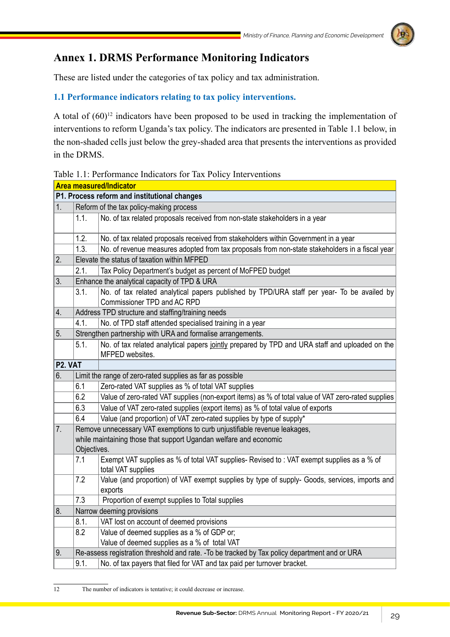# **Annex 1. DRMS Performance Monitoring Indicators**

These are listed under the categories of tax policy and tax administration.

# **1.1 Performance indicators relating to tax policy interventions.**

A total of  $(60)^{12}$  indicators have been proposed to be used in tracking the implementation of interventions to reform Uganda's tax policy. The indicators are presented in Table 1.1 below, in the non-shaded cells just below the grey-shaded area that presents the interventions as provided in the DRMS.

Table 1.1: Performance Indicators for Tax Policy Interventions

|    |                                                                                                | <b>Area measured/Indicator</b>                                                                                            |  |  |
|----|------------------------------------------------------------------------------------------------|---------------------------------------------------------------------------------------------------------------------------|--|--|
|    |                                                                                                | P1. Process reform and institutional changes                                                                              |  |  |
| 1. |                                                                                                | Reform of the tax policy-making process                                                                                   |  |  |
|    | 1.1.                                                                                           | No. of tax related proposals received from non-state stakeholders in a year                                               |  |  |
|    | 1.2.                                                                                           | No. of tax related proposals received from stakeholders within Government in a year                                       |  |  |
|    | 1.3.                                                                                           | No. of revenue measures adopted from tax proposals from non-state stakeholders in a fiscal year                           |  |  |
| 2. |                                                                                                | Elevate the status of taxation within MFPED                                                                               |  |  |
|    | 2.1.                                                                                           | Tax Policy Department's budget as percent of MoFPED budget                                                                |  |  |
| 3. |                                                                                                | Enhance the analytical capacity of TPD & URA                                                                              |  |  |
|    | 3.1.                                                                                           | No. of tax related analytical papers published by TPD/URA staff per year- To be availed by<br>Commissioner TPD and AC RPD |  |  |
| 4. |                                                                                                | Address TPD structure and staffing/training needs                                                                         |  |  |
|    | 4.1.                                                                                           | No. of TPD staff attended specialised training in a year                                                                  |  |  |
| 5. |                                                                                                | Strengthen partnership with URA and formalise arrangements.                                                               |  |  |
|    | 5.1.                                                                                           | No. of tax related analytical papers jointly prepared by TPD and URA staff and uploaded on the<br>MFPED websites.         |  |  |
|    | P <sub>2</sub> . VAT                                                                           |                                                                                                                           |  |  |
| 6. |                                                                                                | Limit the range of zero-rated supplies as far as possible                                                                 |  |  |
|    | 6.1                                                                                            | Zero-rated VAT supplies as % of total VAT supplies                                                                        |  |  |
|    | 6.2                                                                                            | Value of zero-rated VAT supplies (non-export items) as % of total value of VAT zero-rated supplies                        |  |  |
|    | 6.3                                                                                            | Value of VAT zero-rated supplies (export items) as % of total value of exports                                            |  |  |
|    | 6.4<br>Value (and proportion) of VAT zero-rated supplies by type of supply*                    |                                                                                                                           |  |  |
| 7. |                                                                                                | Remove unnecessary VAT exemptions to curb unjustifiable revenue leakages,                                                 |  |  |
|    |                                                                                                | while maintaining those that support Ugandan welfare and economic                                                         |  |  |
|    | Objectives.                                                                                    |                                                                                                                           |  |  |
|    | 7.1                                                                                            | Exempt VAT supplies as % of total VAT supplies- Revised to : VAT exempt supplies as a % of<br>total VAT supplies          |  |  |
|    | 7.2                                                                                            | Value (and proportion) of VAT exempt supplies by type of supply- Goods, services, imports and                             |  |  |
|    |                                                                                                | exports                                                                                                                   |  |  |
|    | 7.3                                                                                            | Proportion of exempt supplies to Total supplies                                                                           |  |  |
| 8. |                                                                                                | Narrow deeming provisions                                                                                                 |  |  |
|    | 8.1.                                                                                           | VAT lost on account of deemed provisions                                                                                  |  |  |
|    | 8.2                                                                                            | Value of deemed supplies as a % of GDP or;                                                                                |  |  |
|    |                                                                                                | Value of deemed supplies as a % of total VAT                                                                              |  |  |
| 9. | Re-assess registration threshold and rate. - To be tracked by Tax policy department and or URA |                                                                                                                           |  |  |
|    | 9.1.                                                                                           | No. of tax payers that filed for VAT and tax paid per turnover bracket.                                                   |  |  |

12 The number of indicators is tentative; it could decrease or increase.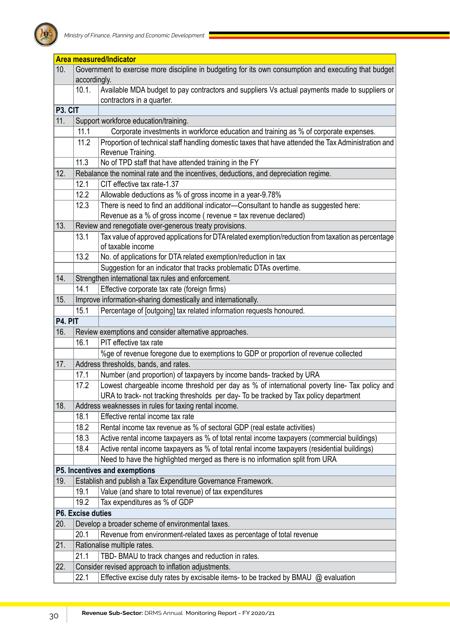

|                      |                                                         | <b>Area measured/Indicator</b>                                                                                             |  |  |  |  |
|----------------------|---------------------------------------------------------|----------------------------------------------------------------------------------------------------------------------------|--|--|--|--|
| 10.                  |                                                         | Government to exercise more discipline in budgeting for its own consumption and executing that budget<br>accordingly.      |  |  |  |  |
|                      | 10.1.                                                   | Available MDA budget to pay contractors and suppliers Vs actual payments made to suppliers or<br>contractors in a quarter. |  |  |  |  |
| P <sub>3</sub> . CIT |                                                         |                                                                                                                            |  |  |  |  |
| 11.                  |                                                         | Support workforce education/training.                                                                                      |  |  |  |  |
|                      | 11.1                                                    | Corporate investments in workforce education and training as % of corporate expenses.                                      |  |  |  |  |
|                      | 11.2                                                    | Proportion of technical staff handling domestic taxes that have attended the Tax Administration and                        |  |  |  |  |
|                      |                                                         | Revenue Training.                                                                                                          |  |  |  |  |
|                      | 11.3                                                    | No of TPD staff that have attended training in the FY                                                                      |  |  |  |  |
| 12.                  |                                                         | Rebalance the nominal rate and the incentives, deductions, and depreciation regime.                                        |  |  |  |  |
|                      | 12.1                                                    | CIT effective tax rate-1.37                                                                                                |  |  |  |  |
|                      | 12.2                                                    | Allowable deductions as % of gross income in a year-9.78%                                                                  |  |  |  |  |
|                      | 12.3                                                    | There is need to find an additional indicator-Consultant to handle as suggested here:                                      |  |  |  |  |
|                      |                                                         | Revenue as a % of gross income (revenue = tax revenue declared)                                                            |  |  |  |  |
| 13.                  | Review and renegotiate over-generous treaty provisions. |                                                                                                                            |  |  |  |  |
|                      | 13.1                                                    | Tax value of approved applications for DTA related exemption/reduction from taxation as percentage<br>of taxable income    |  |  |  |  |
|                      | 13.2                                                    | No. of applications for DTA related exemption/reduction in tax                                                             |  |  |  |  |
|                      |                                                         | Suggestion for an indicator that tracks problematic DTAs overtime.                                                         |  |  |  |  |
| 14.                  | Strengthen international tax rules and enforcement.     |                                                                                                                            |  |  |  |  |
|                      | 14.1                                                    | Effective corporate tax rate (foreign firms)                                                                               |  |  |  |  |
| 15.                  |                                                         | Improve information-sharing domestically and internationally.                                                              |  |  |  |  |
|                      | 15.1                                                    | Percentage of [outgoing] tax related information requests honoured.                                                        |  |  |  |  |
| P4. PIT              |                                                         |                                                                                                                            |  |  |  |  |
| 16.                  |                                                         | Review exemptions and consider alternative approaches.                                                                     |  |  |  |  |
|                      | 16.1                                                    | PIT effective tax rate                                                                                                     |  |  |  |  |
|                      |                                                         | %ge of revenue foregone due to exemptions to GDP or proportion of revenue collected                                        |  |  |  |  |
| 17.                  |                                                         | Address thresholds, bands, and rates.                                                                                      |  |  |  |  |
|                      | 17.1                                                    | Number (and proportion) of taxpayers by income bands- tracked by URA                                                       |  |  |  |  |
|                      | 17.2                                                    | Lowest chargeable income threshold per day as % of international poverty line- Tax policy and                              |  |  |  |  |
|                      |                                                         | URA to track- not tracking thresholds per day- To be tracked by Tax policy department                                      |  |  |  |  |
| 18.                  |                                                         | Address weaknesses in rules for taxing rental income.                                                                      |  |  |  |  |
|                      | 18.1                                                    | Effective rental income tax rate                                                                                           |  |  |  |  |
|                      | 18.2                                                    | Rental income tax revenue as % of sectoral GDP (real estate activities)                                                    |  |  |  |  |
|                      | 18.3                                                    | Active rental income taxpayers as % of total rental income taxpayers (commercial buildings)                                |  |  |  |  |
|                      | 18.4                                                    | Active rental income taxpayers as % of total rental income taxpayers (residential buildings)                               |  |  |  |  |
|                      |                                                         | Need to have the highlighted merged as there is no information split from URA                                              |  |  |  |  |
|                      | P5. Incentives and exemptions                           |                                                                                                                            |  |  |  |  |
| 19.                  |                                                         | Establish and publish a Tax Expenditure Governance Framework.                                                              |  |  |  |  |
|                      | 19.1                                                    | Value (and share to total revenue) of tax expenditures                                                                     |  |  |  |  |
|                      | 19.2                                                    | Tax expenditures as % of GDP                                                                                               |  |  |  |  |
|                      | P6. Excise duties                                       |                                                                                                                            |  |  |  |  |
| 20.                  |                                                         | Develop a broader scheme of environmental taxes.                                                                           |  |  |  |  |
|                      | 20.1                                                    | Revenue from environment-related taxes as percentage of total revenue                                                      |  |  |  |  |
| 21.                  |                                                         | Rationalise multiple rates.                                                                                                |  |  |  |  |
|                      | 21.1                                                    | TBD- BMAU to track changes and reduction in rates.                                                                         |  |  |  |  |
| 22.                  |                                                         | Consider revised approach to inflation adjustments.                                                                        |  |  |  |  |
|                      | 22.1                                                    | Effective excise duty rates by excisable items- to be tracked by BMAU @ evaluation                                         |  |  |  |  |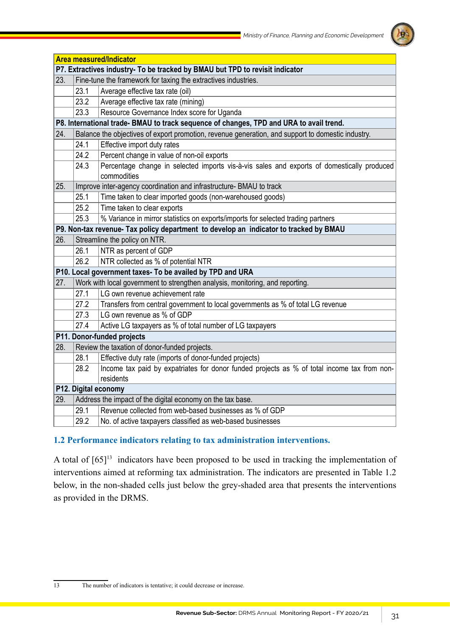

|                                                                              |                                                                                                   | <b>Area measured/Indicator</b>                                                                            |  |  |  |  |  |
|------------------------------------------------------------------------------|---------------------------------------------------------------------------------------------------|-----------------------------------------------------------------------------------------------------------|--|--|--|--|--|
| P7. Extractives industry- To be tracked by BMAU but TPD to revisit indicator |                                                                                                   |                                                                                                           |  |  |  |  |  |
| 23.                                                                          |                                                                                                   | Fine-tune the framework for taxing the extractives industries.                                            |  |  |  |  |  |
|                                                                              | 23.1                                                                                              | Average effective tax rate (oil)                                                                          |  |  |  |  |  |
|                                                                              | 23.2                                                                                              | Average effective tax rate (mining)                                                                       |  |  |  |  |  |
|                                                                              | 23.3                                                                                              | Resource Governance Index score for Uganda                                                                |  |  |  |  |  |
|                                                                              |                                                                                                   | P8. International trade- BMAU to track sequence of changes, TPD and URA to avail trend.                   |  |  |  |  |  |
| 24.                                                                          | Balance the objectives of export promotion, revenue generation, and support to domestic industry. |                                                                                                           |  |  |  |  |  |
|                                                                              | 24.1                                                                                              | Effective import duty rates                                                                               |  |  |  |  |  |
|                                                                              | 24.2                                                                                              | Percent change in value of non-oil exports                                                                |  |  |  |  |  |
|                                                                              | 24.3                                                                                              | Percentage change in selected imports vis-à-vis sales and exports of domestically produced<br>commodities |  |  |  |  |  |
| 25.                                                                          | Improve inter-agency coordination and infrastructure- BMAU to track                               |                                                                                                           |  |  |  |  |  |
|                                                                              | 25.1                                                                                              | Time taken to clear imported goods (non-warehoused goods)                                                 |  |  |  |  |  |
|                                                                              | 25.2                                                                                              | Time taken to clear exports                                                                               |  |  |  |  |  |
|                                                                              | 25.3                                                                                              | % Variance in mirror statistics on exports/imports for selected trading partners                          |  |  |  |  |  |
|                                                                              |                                                                                                   | P9. Non-tax revenue- Tax policy department to develop an indicator to tracked by BMAU                     |  |  |  |  |  |
| 26.                                                                          |                                                                                                   | Streamline the policy on NTR.                                                                             |  |  |  |  |  |
|                                                                              | 26.1                                                                                              | NTR as percent of GDP                                                                                     |  |  |  |  |  |
|                                                                              | 26.2                                                                                              | NTR collected as % of potential NTR                                                                       |  |  |  |  |  |
|                                                                              | P10. Local government taxes- To be availed by TPD and URA                                         |                                                                                                           |  |  |  |  |  |
| 27.                                                                          | Work with local government to strengthen analysis, monitoring, and reporting.                     |                                                                                                           |  |  |  |  |  |
|                                                                              | 27.1                                                                                              | LG own revenue achievement rate                                                                           |  |  |  |  |  |
|                                                                              | 27.2                                                                                              | Transfers from central government to local governments as % of total LG revenue                           |  |  |  |  |  |
|                                                                              | 27.3                                                                                              | LG own revenue as % of GDP                                                                                |  |  |  |  |  |
|                                                                              | 27.4                                                                                              | Active LG taxpayers as % of total number of LG taxpayers                                                  |  |  |  |  |  |
|                                                                              |                                                                                                   | P11. Donor-funded projects                                                                                |  |  |  |  |  |
| 28.                                                                          |                                                                                                   | Review the taxation of donor-funded projects.                                                             |  |  |  |  |  |
|                                                                              | 28.1                                                                                              | Effective duty rate (imports of donor-funded projects)                                                    |  |  |  |  |  |
|                                                                              | 28.2                                                                                              | Income tax paid by expatriates for donor funded projects as % of total income tax from non-<br>residents  |  |  |  |  |  |
|                                                                              | P12. Digital economy                                                                              |                                                                                                           |  |  |  |  |  |
| 29.                                                                          | Address the impact of the digital economy on the tax base.                                        |                                                                                                           |  |  |  |  |  |
|                                                                              | 29.1                                                                                              | Revenue collected from web-based businesses as % of GDP                                                   |  |  |  |  |  |
|                                                                              | 29.2                                                                                              | No. of active taxpayers classified as web-based businesses                                                |  |  |  |  |  |

# **1.2 Performance indicators relating to tax administration interventions.**

A total of  $[65]^{13}$  indicators have been proposed to be used in tracking the implementation of interventions aimed at reforming tax administration. The indicators are presented in Table 1.2 below, in the non-shaded cells just below the grey-shaded area that presents the interventions as provided in the DRMS.

13 The number of indicators is tentative; it could decrease or increase.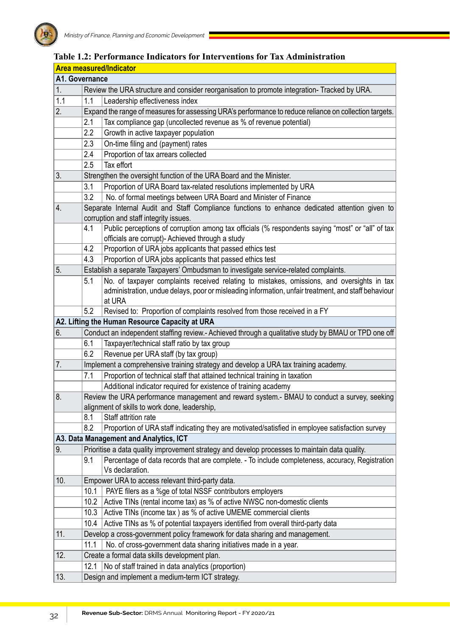|                | <b>Area measured/Indicator</b>                                       |                                                                                                                                                                   |  |  |  |  |
|----------------|----------------------------------------------------------------------|-------------------------------------------------------------------------------------------------------------------------------------------------------------------|--|--|--|--|
| A1. Governance |                                                                      |                                                                                                                                                                   |  |  |  |  |
| 1.             |                                                                      | Review the URA structure and consider reorganisation to promote integration- Tracked by URA.                                                                      |  |  |  |  |
| 1.1            | 1.1<br>Leadership effectiveness index                                |                                                                                                                                                                   |  |  |  |  |
| 2.             |                                                                      | Expand the range of measures for assessing URA's performance to reduce reliance on collection targets.                                                            |  |  |  |  |
|                | 2.1                                                                  | Tax compliance gap (uncollected revenue as % of revenue potential)                                                                                                |  |  |  |  |
|                | 2.2                                                                  | Growth in active taxpayer population                                                                                                                              |  |  |  |  |
|                | 2.3                                                                  | On-time filing and (payment) rates                                                                                                                                |  |  |  |  |
|                | 2.4                                                                  | Proportion of tax arrears collected                                                                                                                               |  |  |  |  |
|                | 2.5                                                                  | Tax effort                                                                                                                                                        |  |  |  |  |
| 3.             | Strengthen the oversight function of the URA Board and the Minister. |                                                                                                                                                                   |  |  |  |  |
|                | 3.1                                                                  | Proportion of URA Board tax-related resolutions implemented by URA                                                                                                |  |  |  |  |
|                | 3.2                                                                  | No. of formal meetings between URA Board and Minister of Finance                                                                                                  |  |  |  |  |
| 4.             |                                                                      | Separate Internal Audit and Staff Compliance functions to enhance dedicated attention given to                                                                    |  |  |  |  |
|                |                                                                      | corruption and staff integrity issues.                                                                                                                            |  |  |  |  |
|                | 4.1                                                                  | Public perceptions of corruption among tax officials (% respondents saying "most" or "all" of tax                                                                 |  |  |  |  |
|                |                                                                      | officials are corrupt)- Achieved through a study                                                                                                                  |  |  |  |  |
|                | 4.2                                                                  | Proportion of URA jobs applicants that passed ethics test                                                                                                         |  |  |  |  |
|                | 4.3                                                                  | Proportion of URA jobs applicants that passed ethics test                                                                                                         |  |  |  |  |
| 5.             |                                                                      | Establish a separate Taxpayers' Ombudsman to investigate service-related complaints.                                                                              |  |  |  |  |
|                | 5.1                                                                  | No. of taxpayer complaints received relating to mistakes, omissions, and oversights in tax                                                                        |  |  |  |  |
|                |                                                                      | administration, undue delays, poor or misleading information, unfair treatment, and staff behaviour                                                               |  |  |  |  |
|                |                                                                      | at URA                                                                                                                                                            |  |  |  |  |
|                | 5.2                                                                  | Revised to: Proportion of complaints resolved from those received in a FY                                                                                         |  |  |  |  |
|                |                                                                      | A2. Lifting the Human Resource Capacity at URA                                                                                                                    |  |  |  |  |
| 6.             |                                                                      | Conduct an independent staffing review.- Achieved through a qualitative study by BMAU or TPD one off                                                              |  |  |  |  |
|                | 6.1<br>6.2                                                           | Taxpayer/technical staff ratio by tax group                                                                                                                       |  |  |  |  |
|                |                                                                      | Revenue per URA staff (by tax group)                                                                                                                              |  |  |  |  |
| 7.             | 7.1                                                                  | Implement a comprehensive training strategy and develop a URA tax training academy.<br>Proportion of technical staff that attained technical training in taxation |  |  |  |  |
|                |                                                                      |                                                                                                                                                                   |  |  |  |  |
| 8.             | Additional indicator required for existence of training academy      |                                                                                                                                                                   |  |  |  |  |
|                |                                                                      | Review the URA performance management and reward system.- BMAU to conduct a survey, seeking<br>alignment of skills to work done, leadership,                      |  |  |  |  |
|                | 8.1                                                                  | Staff attrition rate                                                                                                                                              |  |  |  |  |
|                | 8.2                                                                  | Proportion of URA staff indicating they are motivated/satisfied in employee satisfaction survey                                                                   |  |  |  |  |
|                |                                                                      | A3. Data Management and Analytics, ICT                                                                                                                            |  |  |  |  |
| 9.             |                                                                      | Prioritise a data quality improvement strategy and develop processes to maintain data quality.                                                                    |  |  |  |  |
|                | 9.1                                                                  | Percentage of data records that are complete. - To include completeness, accuracy, Registration                                                                   |  |  |  |  |
|                |                                                                      | Vs declaration.                                                                                                                                                   |  |  |  |  |
| 10.            |                                                                      | Empower URA to access relevant third-party data.                                                                                                                  |  |  |  |  |
|                | 10.1                                                                 | PAYE filers as a %ge of total NSSF contributors employers                                                                                                         |  |  |  |  |
|                | 10.2                                                                 | Active TINs (rental income tax) as % of active NWSC non-domestic clients                                                                                          |  |  |  |  |
|                | 10.3                                                                 | Active TINs (income tax) as % of active UMEME commercial clients                                                                                                  |  |  |  |  |
|                | 10.4                                                                 | Active TINs as % of potential taxpayers identified from overall third-party data                                                                                  |  |  |  |  |
| 11.            |                                                                      | Develop a cross-government policy framework for data sharing and management.                                                                                      |  |  |  |  |
|                | 11.1                                                                 | No. of cross-government data sharing initiatives made in a year.                                                                                                  |  |  |  |  |
| 12.            |                                                                      | Create a formal data skills development plan.                                                                                                                     |  |  |  |  |
|                | 12.1                                                                 | No of staff trained in data analytics (proportion)                                                                                                                |  |  |  |  |
| 13.            |                                                                      | Design and implement a medium-term ICT strategy.                                                                                                                  |  |  |  |  |

# **Table 1.2: Performance Indicators for Interventions for Tax Administration**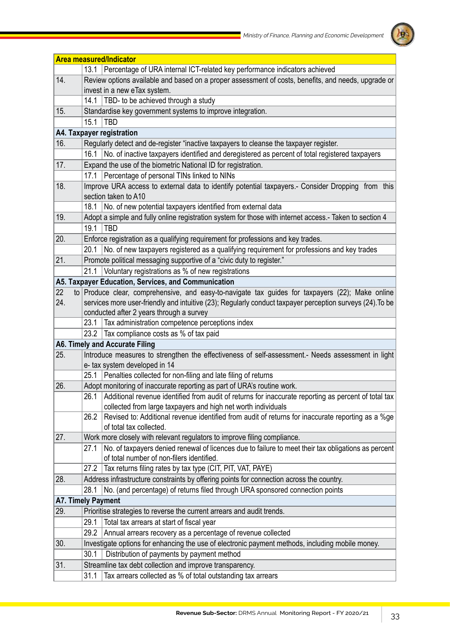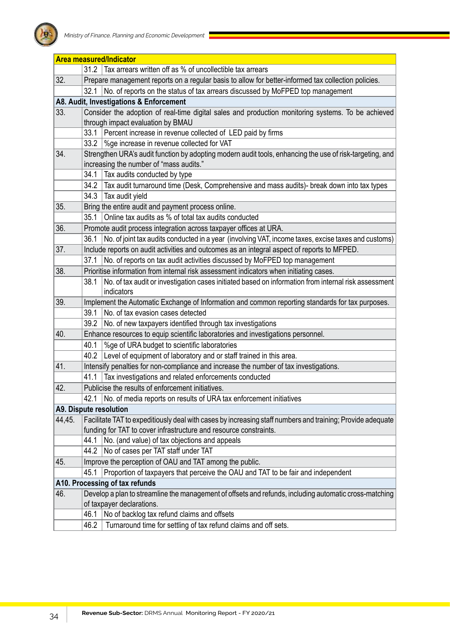

|                                | <b>Area measured/Indicator</b>                                                                             |                                                                                                                    |  |  |  |  |
|--------------------------------|------------------------------------------------------------------------------------------------------------|--------------------------------------------------------------------------------------------------------------------|--|--|--|--|
|                                | 31.2                                                                                                       | Tax arrears written off as % of uncollectible tax arrears                                                          |  |  |  |  |
| 32.                            |                                                                                                            | Prepare management reports on a regular basis to allow for better-informed tax collection policies.                |  |  |  |  |
|                                | 32.1                                                                                                       | No. of reports on the status of tax arrears discussed by MoFPED top management                                     |  |  |  |  |
|                                |                                                                                                            | A8. Audit, Investigations & Enforcement                                                                            |  |  |  |  |
| 33.                            | Consider the adoption of real-time digital sales and production monitoring systems. To be achieved         |                                                                                                                    |  |  |  |  |
|                                |                                                                                                            | through impact evaluation by BMAU                                                                                  |  |  |  |  |
|                                | 33.1                                                                                                       | Percent increase in revenue collected of LED paid by firms                                                         |  |  |  |  |
|                                | 33.2                                                                                                       | %ge increase in revenue collected for VAT                                                                          |  |  |  |  |
| 34.                            |                                                                                                            | Strengthen URA's audit function by adopting modern audit tools, enhancing the use of risk-targeting, and           |  |  |  |  |
|                                |                                                                                                            | increasing the number of "mass audits."                                                                            |  |  |  |  |
|                                | 34.1                                                                                                       | Tax audits conducted by type                                                                                       |  |  |  |  |
|                                | 34.2                                                                                                       | Tax audit turnaround time (Desk, Comprehensive and mass audits)- break down into tax types                         |  |  |  |  |
|                                | 34.3                                                                                                       | Tax audit yield                                                                                                    |  |  |  |  |
| 35.                            |                                                                                                            | Bring the entire audit and payment process online.                                                                 |  |  |  |  |
|                                | 35.1                                                                                                       | Online tax audits as % of total tax audits conducted                                                               |  |  |  |  |
| 36.                            |                                                                                                            | Promote audit process integration across taxpayer offices at URA.                                                  |  |  |  |  |
|                                | 36.1                                                                                                       | No. of joint tax audits conducted in a year (involving VAT, income taxes, excise taxes and customs)                |  |  |  |  |
| 37.                            |                                                                                                            | Include reports on audit activities and outcomes as an integral aspect of reports to MFPED.                        |  |  |  |  |
|                                | 37.1                                                                                                       | No. of reports on tax audit activities discussed by MoFPED top management                                          |  |  |  |  |
| 38.                            |                                                                                                            | Prioritise information from internal risk assessment indicators when initiating cases.                             |  |  |  |  |
|                                | 38.1                                                                                                       | No. of tax audit or investigation cases initiated based on information from internal risk assessment<br>indicators |  |  |  |  |
| 39.                            |                                                                                                            | Implement the Automatic Exchange of Information and common reporting standards for tax purposes.                   |  |  |  |  |
|                                | 39.1                                                                                                       | No. of tax evasion cases detected                                                                                  |  |  |  |  |
|                                | 39.2                                                                                                       | No. of new taxpayers identified through tax investigations                                                         |  |  |  |  |
| 40.                            |                                                                                                            | Enhance resources to equip scientific laboratories and investigations personnel.                                   |  |  |  |  |
|                                | 40.1                                                                                                       | %ge of URA budget to scientific laboratories                                                                       |  |  |  |  |
|                                | 40.2                                                                                                       | Level of equipment of laboratory and or staff trained in this area.                                                |  |  |  |  |
| 41.                            | Intensify penalties for non-compliance and increase the number of tax investigations.                      |                                                                                                                    |  |  |  |  |
|                                | 41.1                                                                                                       | Tax investigations and related enforcements conducted                                                              |  |  |  |  |
| 42.                            |                                                                                                            | Publicise the results of enforcement initiatives.                                                                  |  |  |  |  |
|                                | 42.1                                                                                                       | No. of media reports on results of URA tax enforcement initiatives                                                 |  |  |  |  |
|                                |                                                                                                            | A9. Dispute resolution                                                                                             |  |  |  |  |
| 44,45.                         | Facilitate TAT to expeditiously deal with cases by increasing staff numbers and training; Provide adequate |                                                                                                                    |  |  |  |  |
|                                |                                                                                                            | funding for TAT to cover infrastructure and resource constraints.                                                  |  |  |  |  |
|                                | 44.1                                                                                                       | No. (and value) of tax objections and appeals                                                                      |  |  |  |  |
|                                | 44.2                                                                                                       | No of cases per TAT staff under TAT                                                                                |  |  |  |  |
| 45.                            |                                                                                                            | Improve the perception of OAU and TAT among the public.                                                            |  |  |  |  |
|                                | 45.1                                                                                                       | Proportion of taxpayers that perceive the OAU and TAT to be fair and independent                                   |  |  |  |  |
| A10. Processing of tax refunds |                                                                                                            |                                                                                                                    |  |  |  |  |
| 46.                            |                                                                                                            | Develop a plan to streamline the management of offsets and refunds, including automatic cross-matching             |  |  |  |  |
|                                | of taxpayer declarations.                                                                                  |                                                                                                                    |  |  |  |  |
|                                | 46.1                                                                                                       | No of backlog tax refund claims and offsets                                                                        |  |  |  |  |
|                                | 46.2                                                                                                       | Turnaround time for settling of tax refund claims and off sets.                                                    |  |  |  |  |

J.